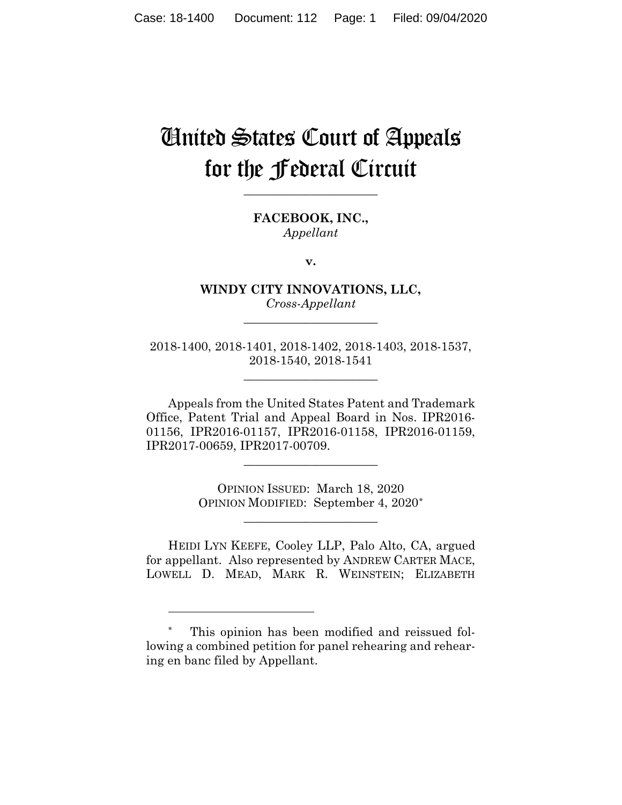# United States Court of Appeals for the Federal Circuit

**FACEBOOK, INC.,** *Appellant*

**\_\_\_\_\_\_\_\_\_\_\_\_\_\_\_\_\_\_\_\_\_\_**

**v.**

**WINDY CITY INNOVATIONS, LLC,** *Cross-Appellant*

**\_\_\_\_\_\_\_\_\_\_\_\_\_\_\_\_\_\_\_\_\_\_**

2018-1400, 2018-1401, 2018-1402, 2018-1403, 2018-1537, 2018-1540, 2018-1541

**\_\_\_\_\_\_\_\_\_\_\_\_\_\_\_\_\_\_\_\_\_\_**

Appeals from the United States Patent and Trademark Office, Patent Trial and Appeal Board in Nos. IPR2016- 01156, IPR2016-01157, IPR2016-01158, IPR2016-01159, IPR2017-00659, IPR2017-00709.

**\_\_\_\_\_\_\_\_\_\_\_\_\_\_\_\_\_\_\_\_\_\_**

OPINION ISSUED: March 18, 2020 OPINION MODIFIED: September 4, 2020\*

**\_\_\_\_\_\_\_\_\_\_\_\_\_\_\_\_\_\_\_\_\_\_**

HEIDI LYN KEEFE, Cooley LLP, Palo Alto, CA, argued for appellant. Also represented by ANDREW CARTER MACE, LOWELL D. MEAD, MARK R. WEINSTEIN; ELIZABETH

This opinion has been modified and reissued following a combined petition for panel rehearing and rehearing en banc filed by Appellant.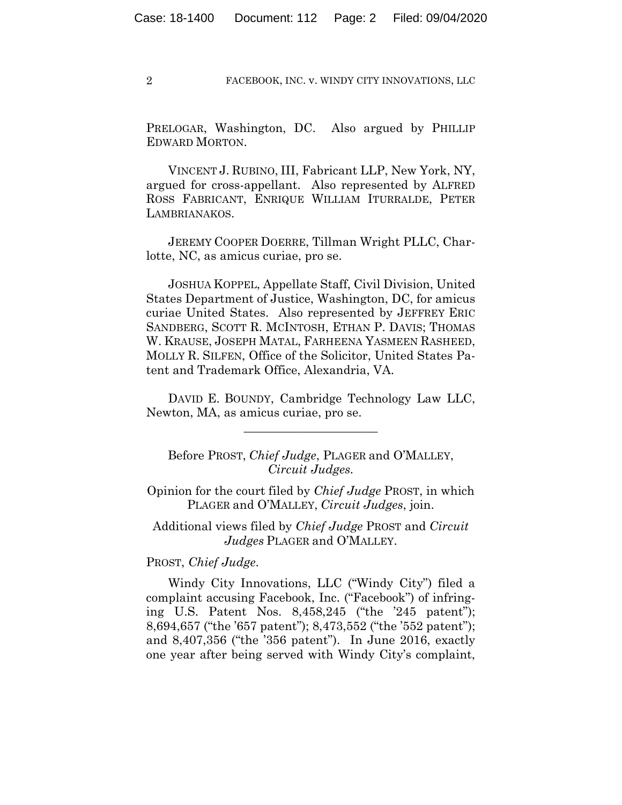PRELOGAR, Washington, DC. Also argued by PHILLIP EDWARD MORTON.

VINCENT J. RUBINO, III, Fabricant LLP, New York, NY, argued for cross-appellant. Also represented by ALFRED ROSS FABRICANT, ENRIQUE WILLIAM ITURRALDE, PETER LAMBRIANAKOS.

JEREMY COOPER DOERRE, Tillman Wright PLLC, Charlotte, NC, as amicus curiae, pro se.

JOSHUA KOPPEL, Appellate Staff, Civil Division, United States Department of Justice, Washington, DC, for amicus curiae United States. Also represented by JEFFREY ERIC SANDBERG, SCOTT R. MCINTOSH, ETHAN P. DAVIS; THOMAS W. KRAUSE, JOSEPH MATAL, FARHEENA YASMEEN RASHEED, MOLLY R. SILFEN, Office of the Solicitor, United States Patent and Trademark Office, Alexandria, VA.

DAVID E. BOUNDY, Cambridge Technology Law LLC, Newton, MA, as amicus curiae, pro se.

\_\_\_\_\_\_\_\_\_\_\_\_\_\_\_\_\_\_\_\_\_\_

Before PROST, *Chief Judge*, PLAGER and O'MALLEY, *Circuit Judges.*

Opinion for the court filed by *Chief Judge* PROST, in which PLAGER and O'MALLEY, *Circuit Judges*, join.

Additional views filed by *Chief Judge* PROST and *Circuit Judges* PLAGER and O'MALLEY.

PROST, *Chief Judge*.

Windy City Innovations, LLC ("Windy City") filed a complaint accusing Facebook, Inc. ("Facebook") of infringing U.S. Patent Nos. 8,458,245 ("the '245 patent"); 8,694,657 ("the '657 patent"); 8,473,552 ("the '552 patent"); and 8,407,356 ("the '356 patent"). In June 2016, exactly one year after being served with Windy City's complaint,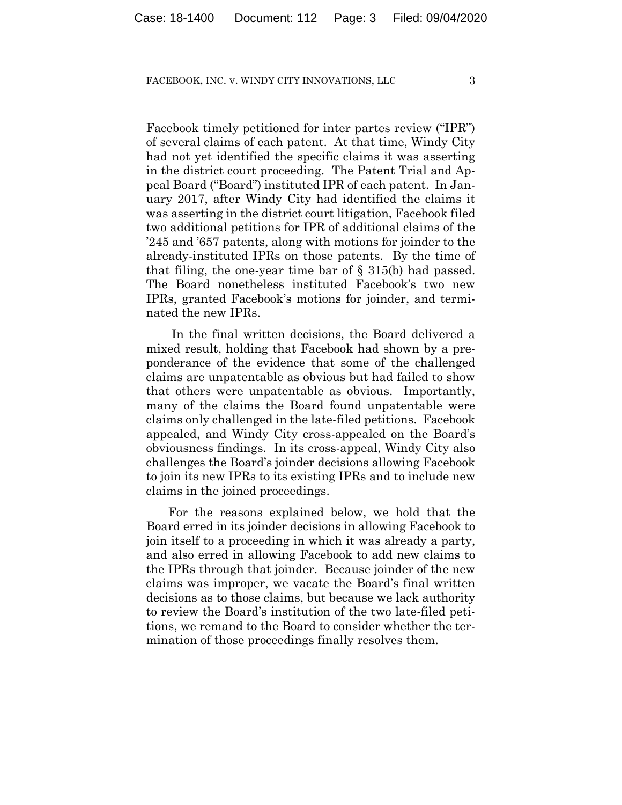Facebook timely petitioned for inter partes review ("IPR") of several claims of each patent. At that time, Windy City had not yet identified the specific claims it was asserting in the district court proceeding. The Patent Trial and Appeal Board ("Board") instituted IPR of each patent. In January 2017, after Windy City had identified the claims it was asserting in the district court litigation, Facebook filed two additional petitions for IPR of additional claims of the '245 and '657 patents, along with motions for joinder to the already-instituted IPRs on those patents. By the time of that filing, the one-year time bar of § 315(b) had passed. The Board nonetheless instituted Facebook's two new IPRs, granted Facebook's motions for joinder, and terminated the new IPRs.

In the final written decisions, the Board delivered a mixed result, holding that Facebook had shown by a preponderance of the evidence that some of the challenged claims are unpatentable as obvious but had failed to show that others were unpatentable as obvious. Importantly, many of the claims the Board found unpatentable were claims only challenged in the late-filed petitions. Facebook appealed, and Windy City cross-appealed on the Board's obviousness findings. In its cross-appeal, Windy City also challenges the Board's joinder decisions allowing Facebook to join its new IPRs to its existing IPRs and to include new claims in the joined proceedings.

For the reasons explained below, we hold that the Board erred in its joinder decisions in allowing Facebook to join itself to a proceeding in which it was already a party, and also erred in allowing Facebook to add new claims to the IPRs through that joinder. Because joinder of the new claims was improper, we vacate the Board's final written decisions as to those claims, but because we lack authority to review the Board's institution of the two late-filed petitions, we remand to the Board to consider whether the termination of those proceedings finally resolves them.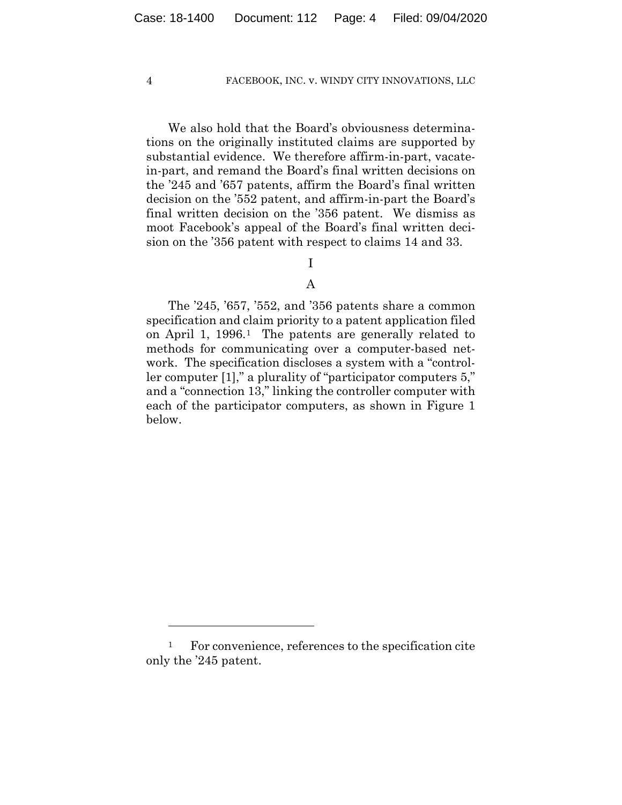We also hold that the Board's obviousness determinations on the originally instituted claims are supported by substantial evidence. We therefore affirm-in-part, vacatein-part, and remand the Board's final written decisions on the '245 and '657 patents, affirm the Board's final written decision on the '552 patent, and affirm-in-part the Board's final written decision on the '356 patent. We dismiss as moot Facebook's appeal of the Board's final written decision on the '356 patent with respect to claims 14 and 33.

## I

## A

The '245, '657, '552, and '356 patents share a common specification and claim priority to a patent application filed on April 1, 1996.1 The patents are generally related to methods for communicating over a computer-based network. The specification discloses a system with a "controller computer [1]," a plurality of "participator computers 5," and a "connection 13," linking the controller computer with each of the participator computers, as shown in Figure 1 below.

<sup>&</sup>lt;sup>1</sup> For convenience, references to the specification cite only the '245 patent.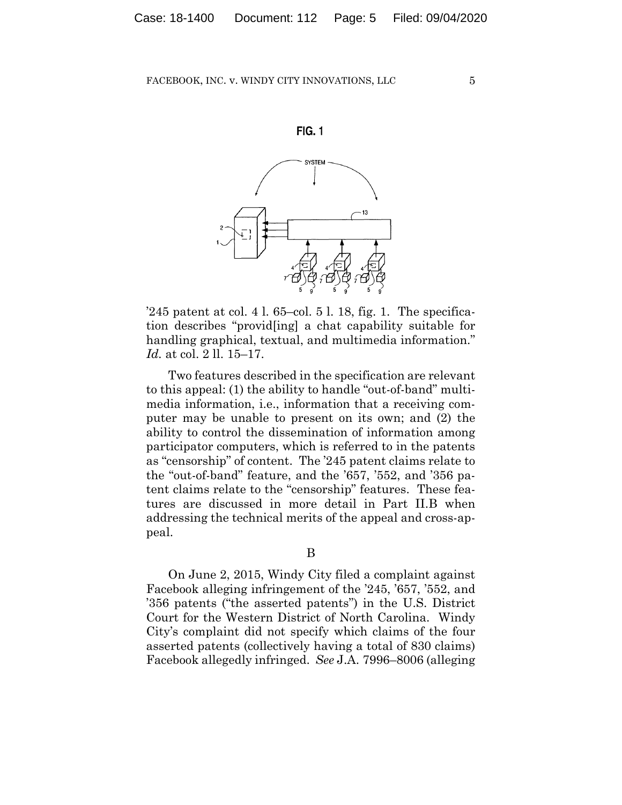



'245 patent at col. 4 l.  $65$ -col. 5 l. 18, fig. 1. The specification describes "provid[ing] a chat capability suitable for handling graphical, textual, and multimedia information." *Id.* at col. 2 ll. 15–17.

Two features described in the specification are relevant to this appeal: (1) the ability to handle "out-of-band" multimedia information, i.e., information that a receiving computer may be unable to present on its own; and (2) the ability to control the dissemination of information among participator computers, which is referred to in the patents as "censorship" of content. The '245 patent claims relate to the "out-of-band" feature, and the '657, '552, and '356 patent claims relate to the "censorship" features. These features are discussed in more detail in Part II.B when addressing the technical merits of the appeal and cross-appeal.

On June 2, 2015, Windy City filed a complaint against Facebook alleging infringement of the '245, '657, '552, and '356 patents ("the asserted patents") in the U.S. District Court for the Western District of North Carolina. Windy City's complaint did not specify which claims of the four asserted patents (collectively having a total of 830 claims) Facebook allegedly infringed. *See* J.A. 7996–8006 (alleging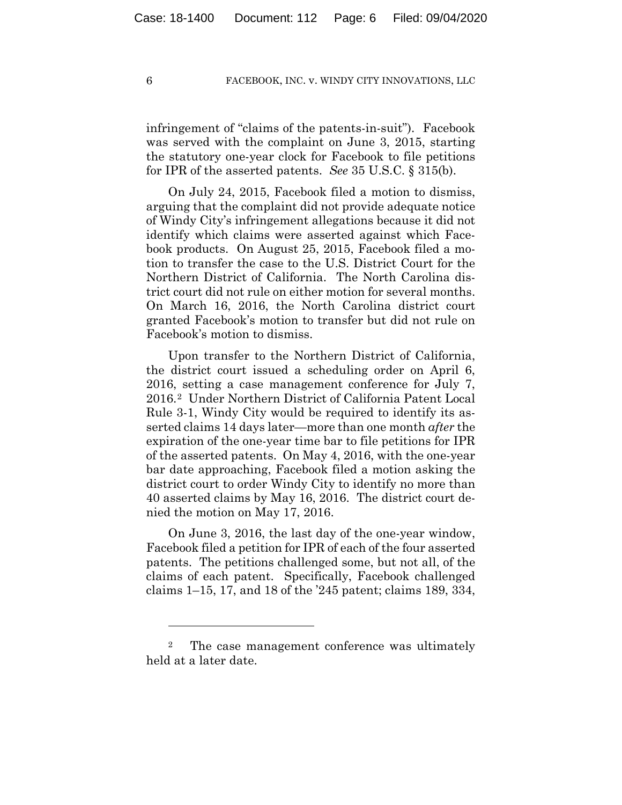infringement of "claims of the patents-in-suit"). Facebook was served with the complaint on June 3, 2015, starting the statutory one-year clock for Facebook to file petitions for IPR of the asserted patents. *See* 35 U.S.C. § 315(b).

On July 24, 2015, Facebook filed a motion to dismiss, arguing that the complaint did not provide adequate notice of Windy City's infringement allegations because it did not identify which claims were asserted against which Facebook products. On August 25, 2015, Facebook filed a motion to transfer the case to the U.S. District Court for the Northern District of California. The North Carolina district court did not rule on either motion for several months. On March 16, 2016, the North Carolina district court granted Facebook's motion to transfer but did not rule on Facebook's motion to dismiss.

Upon transfer to the Northern District of California, the district court issued a scheduling order on April 6, 2016, setting a case management conference for July 7, 2016.2 Under Northern District of California Patent Local Rule 3-1, Windy City would be required to identify its asserted claims 14 days later—more than one month *after* the expiration of the one-year time bar to file petitions for IPR of the asserted patents. On May 4, 2016, with the one-year bar date approaching, Facebook filed a motion asking the district court to order Windy City to identify no more than 40 asserted claims by May 16, 2016. The district court denied the motion on May 17, 2016.

On June 3, 2016, the last day of the one-year window, Facebook filed a petition for IPR of each of the four asserted patents. The petitions challenged some, but not all, of the claims of each patent. Specifically, Facebook challenged claims 1–15, 17, and 18 of the '245 patent; claims 189, 334,

<sup>&</sup>lt;sup>2</sup> The case management conference was ultimately held at a later date.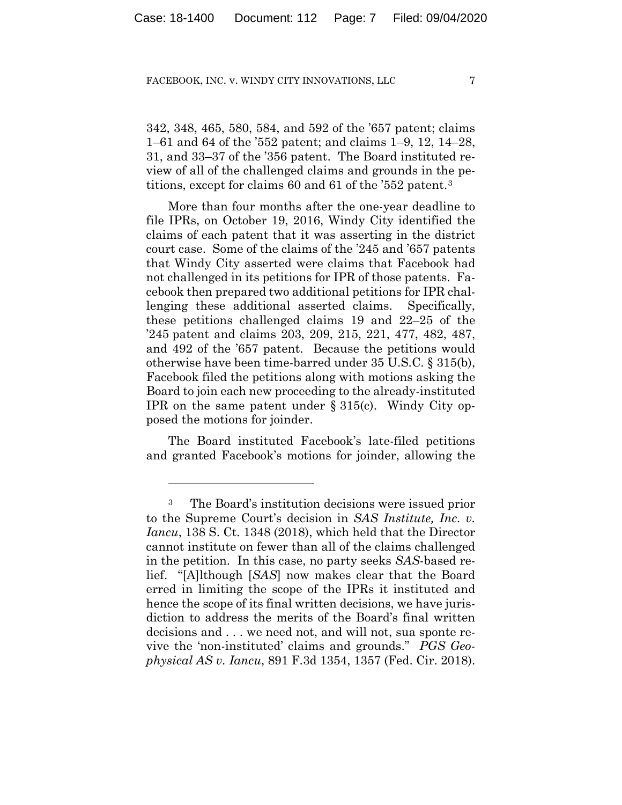342, 348, 465, 580, 584, and 592 of the '657 patent; claims 1–61 and 64 of the '552 patent; and claims 1–9, 12, 14–28, 31, and 33–37 of the '356 patent. The Board instituted review of all of the challenged claims and grounds in the petitions, except for claims 60 and 61 of the '552 patent.3

More than four months after the one-year deadline to file IPRs, on October 19, 2016, Windy City identified the claims of each patent that it was asserting in the district court case. Some of the claims of the '245 and '657 patents that Windy City asserted were claims that Facebook had not challenged in its petitions for IPR of those patents. Facebook then prepared two additional petitions for IPR challenging these additional asserted claims. Specifically, these petitions challenged claims 19 and 22–25 of the '245 patent and claims 203, 209, 215, 221, 477, 482, 487, and 492 of the '657 patent. Because the petitions would otherwise have been time-barred under 35 U.S.C. § 315(b), Facebook filed the petitions along with motions asking the Board to join each new proceeding to the already-instituted IPR on the same patent under § 315(c). Windy City opposed the motions for joinder.

The Board instituted Facebook's late-filed petitions and granted Facebook's motions for joinder, allowing the

<sup>3</sup> The Board's institution decisions were issued prior to the Supreme Court's decision in *SAS Institute, Inc. v. Iancu*, 138 S. Ct. 1348 (2018), which held that the Director cannot institute on fewer than all of the claims challenged in the petition. In this case, no party seeks *SAS*-based relief. "[A]lthough [*SAS*] now makes clear that the Board erred in limiting the scope of the IPRs it instituted and hence the scope of its final written decisions, we have jurisdiction to address the merits of the Board's final written decisions and . . . we need not, and will not, sua sponte revive the 'non-instituted' claims and grounds." *PGS Geophysical AS v. Iancu*, 891 F.3d 1354, 1357 (Fed. Cir. 2018).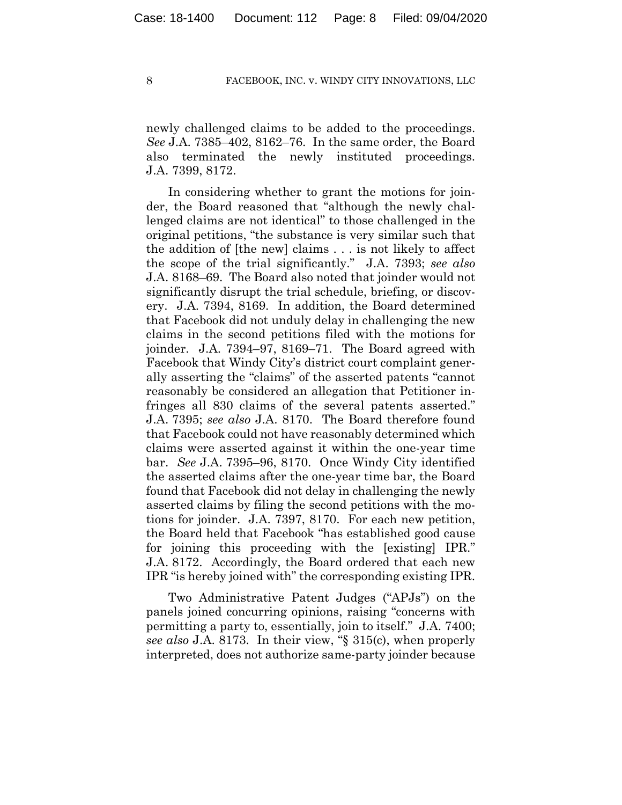newly challenged claims to be added to the proceedings. *See* J.A. 7385–402, 8162–76. In the same order, the Board also terminated the newly instituted proceedings. J.A. 7399, 8172.

In considering whether to grant the motions for joinder, the Board reasoned that "although the newly challenged claims are not identical" to those challenged in the original petitions, "the substance is very similar such that the addition of [the new] claims . . . is not likely to affect the scope of the trial significantly." J.A. 7393; *see also* J.A. 8168–69. The Board also noted that joinder would not significantly disrupt the trial schedule, briefing, or discovery. J.A. 7394, 8169. In addition, the Board determined that Facebook did not unduly delay in challenging the new claims in the second petitions filed with the motions for joinder. J.A. 7394–97, 8169–71. The Board agreed with Facebook that Windy City's district court complaint generally asserting the "claims" of the asserted patents "cannot reasonably be considered an allegation that Petitioner infringes all 830 claims of the several patents asserted." J.A. 7395; *see also* J.A. 8170. The Board therefore found that Facebook could not have reasonably determined which claims were asserted against it within the one-year time bar. *See* J.A. 7395–96, 8170. Once Windy City identified the asserted claims after the one-year time bar, the Board found that Facebook did not delay in challenging the newly asserted claims by filing the second petitions with the motions for joinder. J.A. 7397, 8170. For each new petition, the Board held that Facebook "has established good cause for joining this proceeding with the [existing] IPR." J.A. 8172. Accordingly, the Board ordered that each new IPR "is hereby joined with" the corresponding existing IPR.

Two Administrative Patent Judges ("APJs") on the panels joined concurring opinions, raising "concerns with permitting a party to, essentially, join to itself." J.A. 7400; *see also* J.A. 8173. In their view, "§ 315(c), when properly interpreted, does not authorize same-party joinder because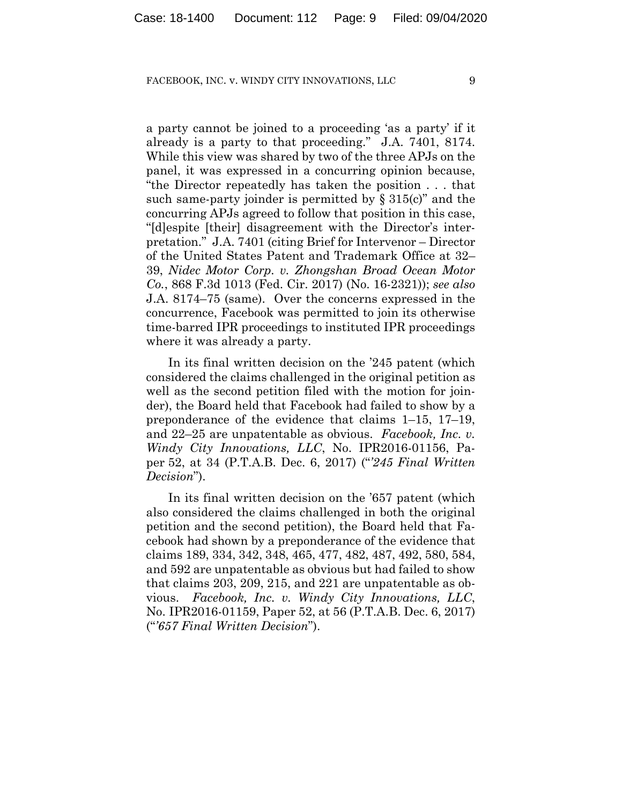a party cannot be joined to a proceeding 'as a party' if it already is a party to that proceeding." J.A. 7401, 8174. While this view was shared by two of the three APJs on the panel, it was expressed in a concurring opinion because, "the Director repeatedly has taken the position . . . that such same-party joinder is permitted by  $\S 315(c)$ " and the concurring APJs agreed to follow that position in this case, "[d]espite [their] disagreement with the Director's interpretation." J.A. 7401 (citing Brief for Intervenor – Director of the United States Patent and Trademark Office at 32– 39, *Nidec Motor Corp. v. Zhongshan Broad Ocean Motor Co.*, 868 F.3d 1013 (Fed. Cir. 2017) (No. 16-2321)); *see also* J.A. 8174–75 (same). Over the concerns expressed in the concurrence, Facebook was permitted to join its otherwise time-barred IPR proceedings to instituted IPR proceedings where it was already a party.

In its final written decision on the '245 patent (which considered the claims challenged in the original petition as well as the second petition filed with the motion for joinder), the Board held that Facebook had failed to show by a preponderance of the evidence that claims 1–15, 17–19, and 22–25 are unpatentable as obvious. *Facebook, Inc. v. Windy City Innovations, LLC*, No. IPR2016-01156, Paper 52, at 34 (P.T.A.B. Dec. 6, 2017) ("*'245 Final Written Decision*").

In its final written decision on the '657 patent (which also considered the claims challenged in both the original petition and the second petition), the Board held that Facebook had shown by a preponderance of the evidence that claims 189, 334, 342, 348, 465, 477, 482, 487, 492, 580, 584, and 592 are unpatentable as obvious but had failed to show that claims 203, 209, 215, and 221 are unpatentable as obvious. *Facebook, Inc. v. Windy City Innovations, LLC*, No. IPR2016-01159, Paper 52, at 56 (P.T.A.B. Dec. 6, 2017) ("*'657 Final Written Decision*").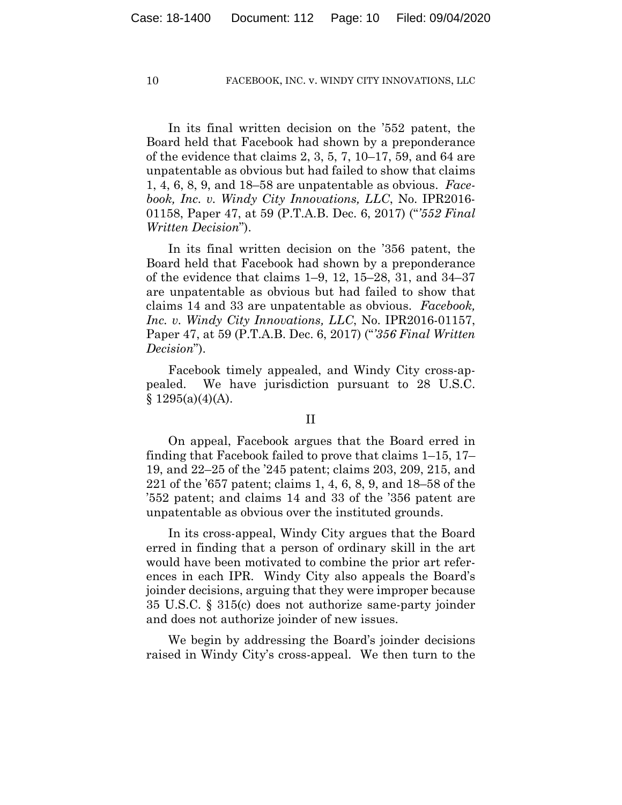In its final written decision on the '552 patent, the Board held that Facebook had shown by a preponderance of the evidence that claims 2, 3, 5, 7, 10–17, 59, and 64 are unpatentable as obvious but had failed to show that claims 1, 4, 6, 8, 9, and 18–58 are unpatentable as obvious. *Facebook, Inc. v. Windy City Innovations, LLC*, No. IPR2016- 01158, Paper 47, at 59 (P.T.A.B. Dec. 6, 2017) ("*'552 Final Written Decision*").

In its final written decision on the '356 patent, the Board held that Facebook had shown by a preponderance of the evidence that claims 1–9, 12, 15–28, 31, and 34–37 are unpatentable as obvious but had failed to show that claims 14 and 33 are unpatentable as obvious. *Facebook, Inc. v. Windy City Innovations, LLC*, No. IPR2016-01157, Paper 47, at 59 (P.T.A.B. Dec. 6, 2017) ("*'356 Final Written Decision*").

Facebook timely appealed, and Windy City cross-appealed. We have jurisdiction pursuant to 28 U.S.C.  $§ 1295(a)(4)(A).$ 

## II

On appeal, Facebook argues that the Board erred in finding that Facebook failed to prove that claims 1–15, 17– 19, and 22–25 of the '245 patent; claims 203, 209, 215, and 221 of the '657 patent; claims 1, 4, 6, 8, 9, and 18–58 of the '552 patent; and claims 14 and 33 of the '356 patent are unpatentable as obvious over the instituted grounds.

In its cross-appeal, Windy City argues that the Board erred in finding that a person of ordinary skill in the art would have been motivated to combine the prior art references in each IPR. Windy City also appeals the Board's joinder decisions, arguing that they were improper because 35 U.S.C. § 315(c) does not authorize same-party joinder and does not authorize joinder of new issues.

We begin by addressing the Board's joinder decisions raised in Windy City's cross-appeal. We then turn to the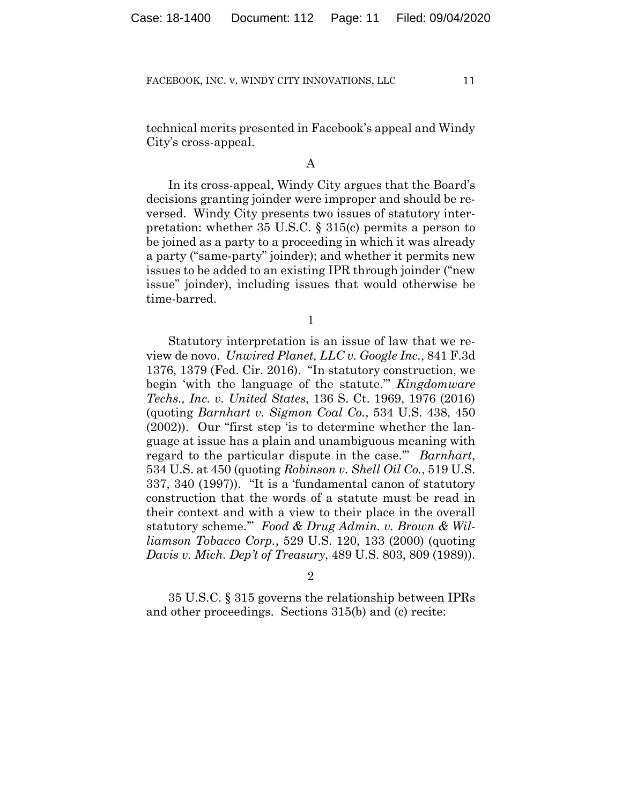technical merits presented in Facebook's appeal and Windy City's cross-appeal.

## A

In its cross-appeal, Windy City argues that the Board's decisions granting joinder were improper and should be reversed. Windy City presents two issues of statutory interpretation: whether 35 U.S.C. § 315(c) permits a person to be joined as a party to a proceeding in which it was already a party ("same-party" joinder); and whether it permits new issues to be added to an existing IPR through joinder ("new issue" joinder), including issues that would otherwise be time-barred.

1

Statutory interpretation is an issue of law that we review de novo. *Unwired Planet, LLC v. Google Inc.*, 841 F.3d 1376, 1379 (Fed. Cir. 2016). "In statutory construction, we begin 'with the language of the statute.'" *Kingdomware Techs., Inc. v. United States*, 136 S. Ct. 1969, 1976 (2016) (quoting *Barnhart v. Sigmon Coal Co.*, 534 U.S. 438, 450 (2002)). Our "first step 'is to determine whether the language at issue has a plain and unambiguous meaning with regard to the particular dispute in the case.'" *Barnhart*, 534 U.S. at 450 (quoting *Robinson v. Shell Oil Co.*, 519 U.S. 337, 340 (1997)). "It is a 'fundamental canon of statutory construction that the words of a statute must be read in their context and with a view to their place in the overall statutory scheme.'" *Food & Drug Admin. v. Brown & Williamson Tobacco Corp.*, 529 U.S. 120, 133 (2000) (quoting *Davis v. Mich. Dep't of Treasury*, 489 U.S. 803, 809 (1989)).

2

35 U.S.C. § 315 governs the relationship between IPRs and other proceedings. Sections 315(b) and (c) recite: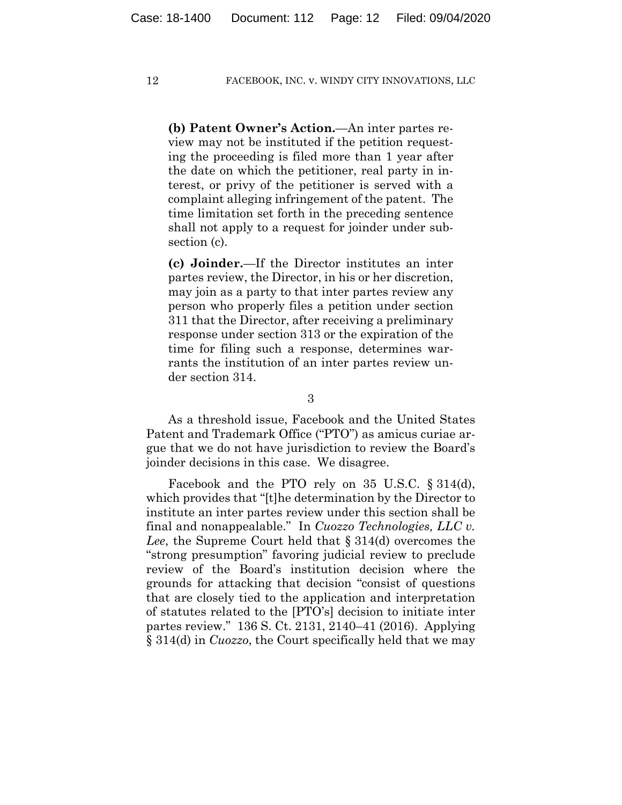**(b) Patent Owner's Action.**—An inter partes review may not be instituted if the petition requesting the proceeding is filed more than 1 year after the date on which the petitioner, real party in interest, or privy of the petitioner is served with a complaint alleging infringement of the patent. The time limitation set forth in the preceding sentence shall not apply to a request for joinder under subsection (c).

**(c) Joinder.**—If the Director institutes an inter partes review, the Director, in his or her discretion, may join as a party to that inter partes review any person who properly files a petition under section 311 that the Director, after receiving a preliminary response under section 313 or the expiration of the time for filing such a response, determines warrants the institution of an inter partes review under section 314.

3

As a threshold issue, Facebook and the United States Patent and Trademark Office ("PTO") as amicus curiae argue that we do not have jurisdiction to review the Board's joinder decisions in this case. We disagree.

Facebook and the PTO rely on 35 U.S.C. § 314(d), which provides that "[t]he determination by the Director to institute an inter partes review under this section shall be final and nonappealable." In *Cuozzo Technologies, LLC v. Lee*, the Supreme Court held that § 314(d) overcomes the "strong presumption" favoring judicial review to preclude review of the Board's institution decision where the grounds for attacking that decision "consist of questions that are closely tied to the application and interpretation of statutes related to the [PTO's] decision to initiate inter partes review." 136 S. Ct. 2131, 2140–41 (2016). Applying § 314(d) in *Cuozzo*, the Court specifically held that we may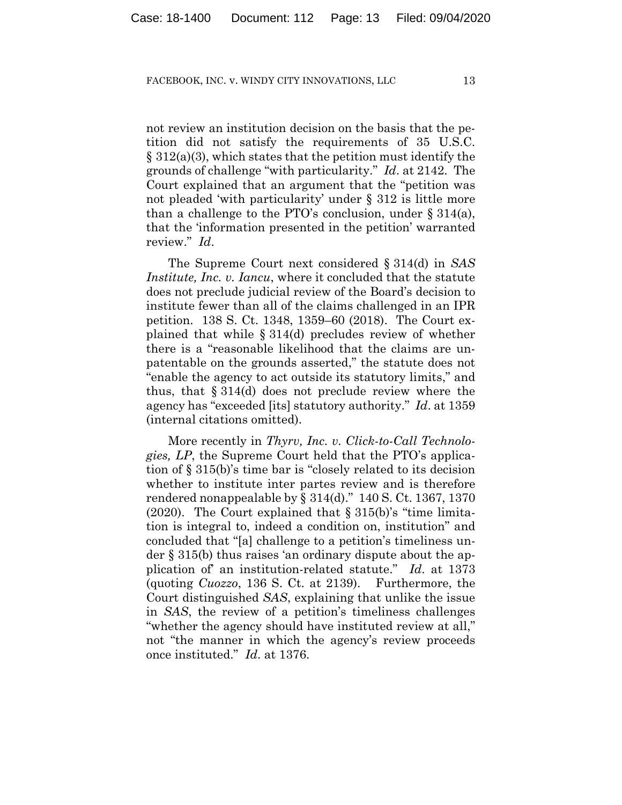not review an institution decision on the basis that the petition did not satisfy the requirements of 35 U.S.C. § 312(a)(3), which states that the petition must identify the grounds of challenge "with particularity." *Id*. at 2142. The Court explained that an argument that the "petition was not pleaded 'with particularity' under § 312 is little more than a challenge to the PTO's conclusion, under  $\S 314(a)$ , that the 'information presented in the petition' warranted review." *Id*.

The Supreme Court next considered § 314(d) in *SAS Institute, Inc. v. Iancu*, where it concluded that the statute does not preclude judicial review of the Board's decision to institute fewer than all of the claims challenged in an IPR petition. 138 S. Ct. 1348, 1359–60 (2018). The Court explained that while § 314(d) precludes review of whether there is a "reasonable likelihood that the claims are unpatentable on the grounds asserted," the statute does not "enable the agency to act outside its statutory limits," and thus, that § 314(d) does not preclude review where the agency has "exceeded [its] statutory authority." *Id*. at 1359 (internal citations omitted).

More recently in *Thyrv, Inc. v. Click-to-Call Technologies, LP*, the Supreme Court held that the PTO's application of § 315(b)'s time bar is "closely related to its decision whether to institute inter partes review and is therefore rendered nonappealable by § 314(d)." 140 S. Ct. 1367, 1370 (2020). The Court explained that  $\S 315(b)$ 's "time limitation is integral to, indeed a condition on, institution" and concluded that "[a] challenge to a petition's timeliness under § 315(b) thus raises 'an ordinary dispute about the application of' an institution-related statute." *Id*. at 1373 (quoting *Cuozzo*, 136 S. Ct. at 2139). Furthermore, the Court distinguished *SAS*, explaining that unlike the issue in *SAS*, the review of a petition's timeliness challenges "whether the agency should have instituted review at all," not "the manner in which the agency's review proceeds once instituted." *Id*. at 1376.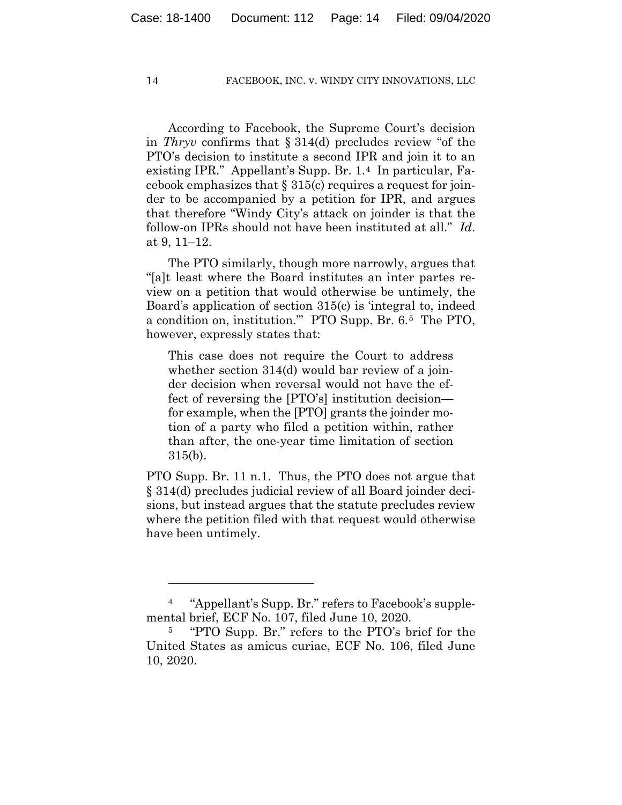According to Facebook, the Supreme Court's decision in *Thryv* confirms that § 314(d) precludes review "of the PTO's decision to institute a second IPR and join it to an existing IPR." Appellant's Supp. Br. 1.4 In particular, Facebook emphasizes that § 315(c) requires a request for joinder to be accompanied by a petition for IPR, and argues that therefore "Windy City's attack on joinder is that the follow-on IPRs should not have been instituted at all." *Id*. at 9, 11–12.

The PTO similarly, though more narrowly, argues that "[a]t least where the Board institutes an inter partes review on a petition that would otherwise be untimely, the Board's application of section 315(c) is 'integral to, indeed a condition on, institution.'" PTO Supp. Br. 6.5 The PTO, however, expressly states that:

This case does not require the Court to address whether section 314(d) would bar review of a joinder decision when reversal would not have the effect of reversing the [PTO's] institution decision for example, when the [PTO] grants the joinder motion of a party who filed a petition within, rather than after, the one-year time limitation of section 315(b).

PTO Supp. Br. 11 n.1. Thus, the PTO does not argue that § 314(d) precludes judicial review of all Board joinder decisions, but instead argues that the statute precludes review where the petition filed with that request would otherwise have been untimely.

<sup>&</sup>quot;Appellant's Supp. Br." refers to Facebook's supplemental brief, ECF No. 107, filed June 10, 2020.

<sup>5</sup> "PTO Supp. Br." refers to the PTO's brief for the United States as amicus curiae, ECF No. 106, filed June 10, 2020.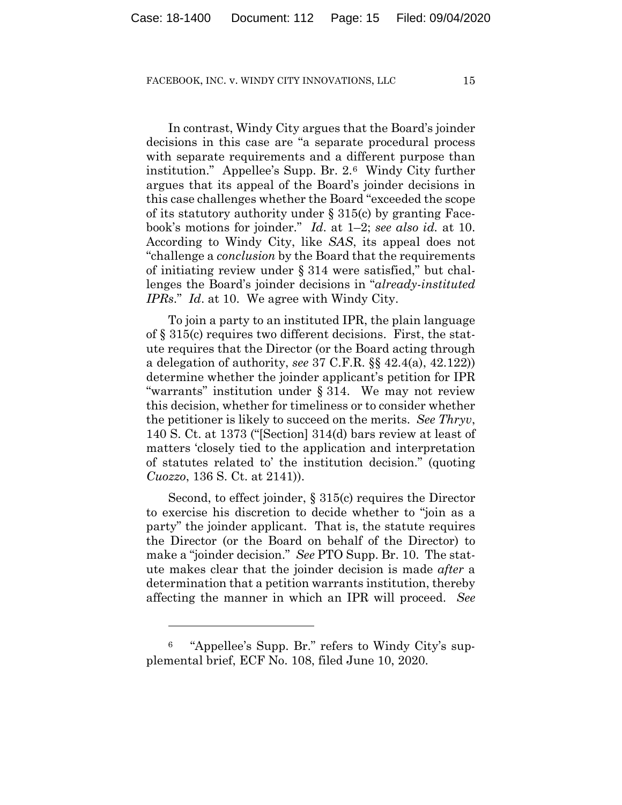In contrast, Windy City argues that the Board's joinder decisions in this case are "a separate procedural process with separate requirements and a different purpose than institution." Appellee's Supp. Br. 2.6 Windy City further argues that its appeal of the Board's joinder decisions in this case challenges whether the Board "exceeded the scope of its statutory authority under § 315(c) by granting Facebook's motions for joinder." *Id*. at 1–2; *see also id.* at 10. According to Windy City, like *SAS*, its appeal does not "challenge a *conclusion* by the Board that the requirements of initiating review under § 314 were satisfied," but challenges the Board's joinder decisions in "*already-instituted IPRs*." *Id*. at 10. We agree with Windy City.

To join a party to an instituted IPR, the plain language of § 315(c) requires two different decisions. First, the statute requires that the Director (or the Board acting through a delegation of authority, *see* 37 C.F.R. §§ 42.4(a), 42.122)) determine whether the joinder applicant's petition for IPR "warrants" institution under § 314. We may not review this decision, whether for timeliness or to consider whether the petitioner is likely to succeed on the merits. *See Thryv*, 140 S. Ct. at 1373 ("[Section] 314(d) bars review at least of matters 'closely tied to the application and interpretation of statutes related to' the institution decision." (quoting *Cuozzo*, 136 S. Ct. at 2141)).

Second, to effect joinder, § 315(c) requires the Director to exercise his discretion to decide whether to "join as a party" the joinder applicant. That is, the statute requires the Director (or the Board on behalf of the Director) to make a "joinder decision." *See* PTO Supp. Br. 10. The statute makes clear that the joinder decision is made *after* a determination that a petition warrants institution, thereby affecting the manner in which an IPR will proceed. *See*

<sup>6</sup> "Appellee's Supp. Br." refers to Windy City's supplemental brief, ECF No. 108, filed June 10, 2020.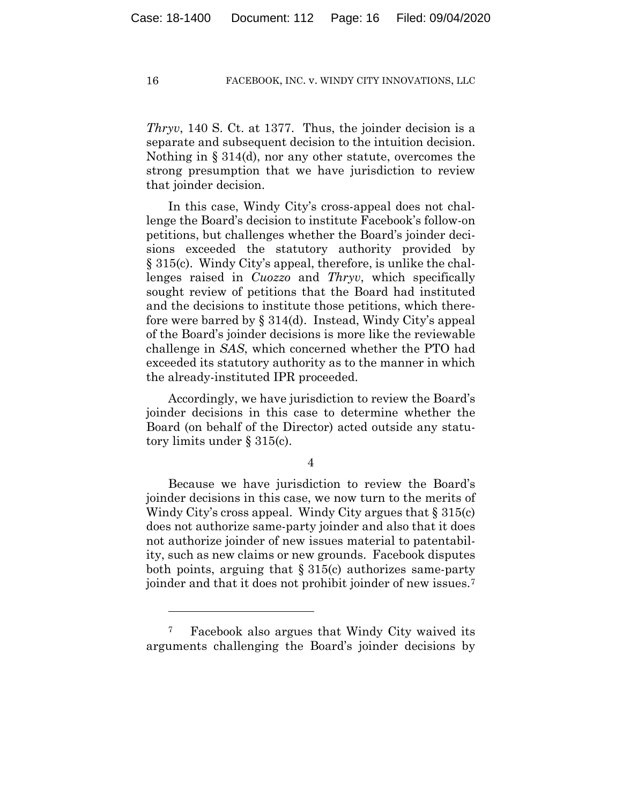*Thryv*, 140 S. Ct. at 1377. Thus, the joinder decision is a separate and subsequent decision to the intuition decision. Nothing in § 314(d), nor any other statute, overcomes the strong presumption that we have jurisdiction to review that joinder decision.

In this case, Windy City's cross-appeal does not challenge the Board's decision to institute Facebook's follow-on petitions, but challenges whether the Board's joinder decisions exceeded the statutory authority provided by § 315(c). Windy City's appeal, therefore, is unlike the challenges raised in *Cuozzo* and *Thryv*, which specifically sought review of petitions that the Board had instituted and the decisions to institute those petitions, which therefore were barred by § 314(d). Instead, Windy City's appeal of the Board's joinder decisions is more like the reviewable challenge in *SAS*, which concerned whether the PTO had exceeded its statutory authority as to the manner in which the already-instituted IPR proceeded.

Accordingly, we have jurisdiction to review the Board's joinder decisions in this case to determine whether the Board (on behalf of the Director) acted outside any statutory limits under § 315(c).

4

Because we have jurisdiction to review the Board's joinder decisions in this case, we now turn to the merits of Windy City's cross appeal. Windy City argues that § 315(c) does not authorize same-party joinder and also that it does not authorize joinder of new issues material to patentability, such as new claims or new grounds. Facebook disputes both points, arguing that  $\S 315(c)$  authorizes same-party joinder and that it does not prohibit joinder of new issues.7

<sup>7</sup> Facebook also argues that Windy City waived its arguments challenging the Board's joinder decisions by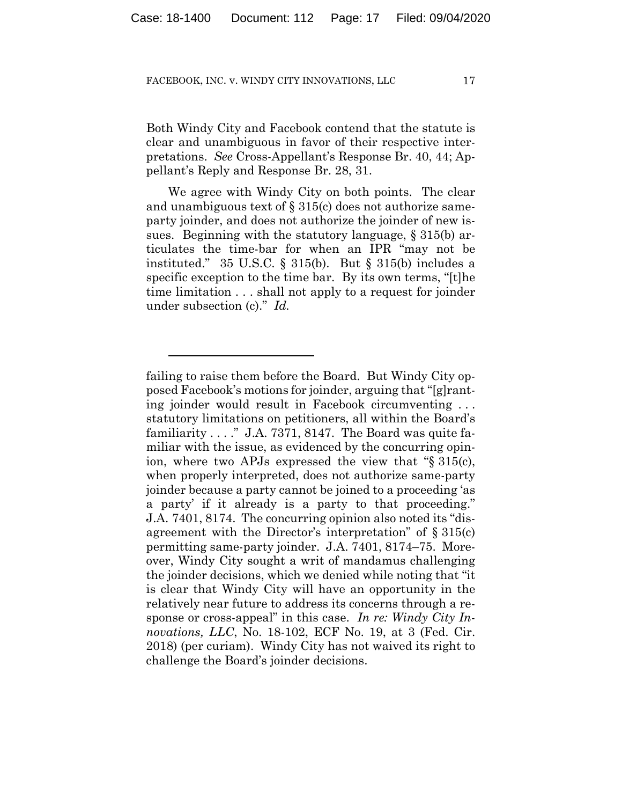Both Windy City and Facebook contend that the statute is clear and unambiguous in favor of their respective interpretations. *See* Cross-Appellant's Response Br. 40, 44; Appellant's Reply and Response Br. 28, 31.

We agree with Windy City on both points. The clear and unambiguous text of  $\S 315(c)$  does not authorize sameparty joinder, and does not authorize the joinder of new issues. Beginning with the statutory language, § 315(b) articulates the time-bar for when an IPR "may not be instituted." 35 U.S.C. § 315(b). But § 315(b) includes a specific exception to the time bar. By its own terms, "[t]he time limitation . . . shall not apply to a request for joinder under subsection (c)." *Id.*

failing to raise them before the Board. But Windy City opposed Facebook's motions for joinder, arguing that "[g]ranting joinder would result in Facebook circumventing . . . statutory limitations on petitioners, all within the Board's familiarity  $\dots$ ." J.A. 7371, 8147. The Board was quite familiar with the issue, as evidenced by the concurring opinion, where two APJs expressed the view that "§ 315(c), when properly interpreted, does not authorize same-party joinder because a party cannot be joined to a proceeding 'as a party' if it already is a party to that proceeding." J.A. 7401, 8174. The concurring opinion also noted its "disagreement with the Director's interpretation" of § 315(c) permitting same-party joinder. J.A. 7401, 8174–75. Moreover, Windy City sought a writ of mandamus challenging the joinder decisions, which we denied while noting that "it is clear that Windy City will have an opportunity in the relatively near future to address its concerns through a response or cross-appeal" in this case. *In re: Windy City Innovations, LLC*, No. 18-102, ECF No. 19, at 3 (Fed. Cir. 2018) (per curiam). Windy City has not waived its right to challenge the Board's joinder decisions.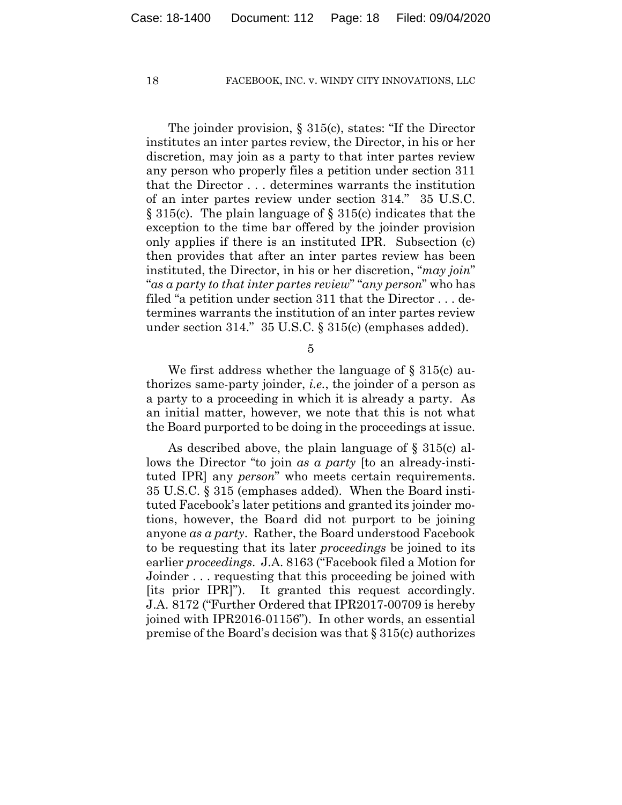The joinder provision, § 315(c), states: "If the Director institutes an inter partes review, the Director, in his or her discretion, may join as a party to that inter partes review any person who properly files a petition under section 311 that the Director . . . determines warrants the institution of an inter partes review under section 314." 35 U.S.C. § 315(c). The plain language of § 315(c) indicates that the exception to the time bar offered by the joinder provision only applies if there is an instituted IPR. Subsection (c) then provides that after an inter partes review has been instituted, the Director, in his or her discretion, "*may join*" "*as a party to that inter partes review*" "*any person*" who has filed "a petition under section 311 that the Director . . . determines warrants the institution of an inter partes review under section 314." 35 U.S.C. § 315(c) (emphases added).

5

We first address whether the language of § 315(c) authorizes same-party joinder, *i.e.*, the joinder of a person as a party to a proceeding in which it is already a party. As an initial matter, however, we note that this is not what the Board purported to be doing in the proceedings at issue.

As described above, the plain language of § 315(c) allows the Director "to join *as a party* [to an already-instituted IPR] any *person*" who meets certain requirements. 35 U.S.C. § 315 (emphases added). When the Board instituted Facebook's later petitions and granted its joinder motions, however, the Board did not purport to be joining anyone *as a party*. Rather, the Board understood Facebook to be requesting that its later *proceedings* be joined to its earlier *proceedings*. J.A. 8163 ("Facebook filed a Motion for Joinder . . . requesting that this proceeding be joined with [its prior IPR]"). It granted this request accordingly. J.A. 8172 ("Further Ordered that IPR2017-00709 is hereby joined with IPR2016-01156"). In other words, an essential premise of the Board's decision was that § 315(c) authorizes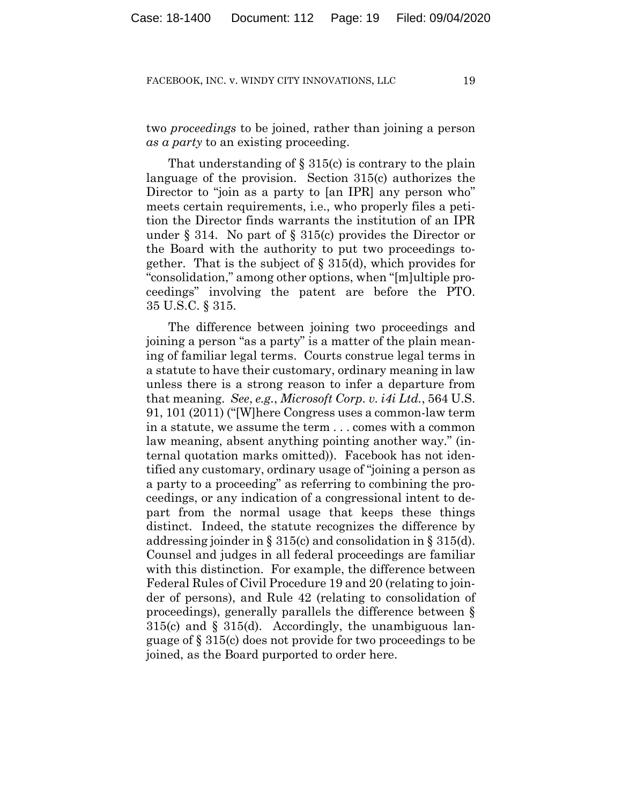two *proceedings* to be joined, rather than joining a person *as a party* to an existing proceeding.

That understanding of  $\S 315(c)$  is contrary to the plain language of the provision. Section 315(c) authorizes the Director to "join as a party to [an IPR] any person who" meets certain requirements, i.e., who properly files a petition the Director finds warrants the institution of an IPR under  $\S 314$ . No part of  $\S 315(c)$  provides the Director or the Board with the authority to put two proceedings together. That is the subject of § 315(d), which provides for "consolidation," among other options, when "[m]ultiple proceedings" involving the patent are before the PTO. 35 U.S.C. § 315.

The difference between joining two proceedings and joining a person "as a party" is a matter of the plain meaning of familiar legal terms. Courts construe legal terms in a statute to have their customary, ordinary meaning in law unless there is a strong reason to infer a departure from that meaning. *See*, *e.g.*, *Microsoft Corp. v. i4i Ltd.*, 564 U.S. 91, 101 (2011) ("[W]here Congress uses a common-law term in a statute, we assume the term . . . comes with a common law meaning, absent anything pointing another way." (internal quotation marks omitted)). Facebook has not identified any customary, ordinary usage of "joining a person as a party to a proceeding" as referring to combining the proceedings, or any indication of a congressional intent to depart from the normal usage that keeps these things distinct. Indeed, the statute recognizes the difference by addressing joinder in § 315(c) and consolidation in § 315(d). Counsel and judges in all federal proceedings are familiar with this distinction. For example, the difference between Federal Rules of Civil Procedure 19 and 20 (relating to joinder of persons), and Rule 42 (relating to consolidation of proceedings), generally parallels the difference between §  $315(c)$  and §  $315(d)$ . Accordingly, the unambiguous language of § 315(c) does not provide for two proceedings to be joined, as the Board purported to order here.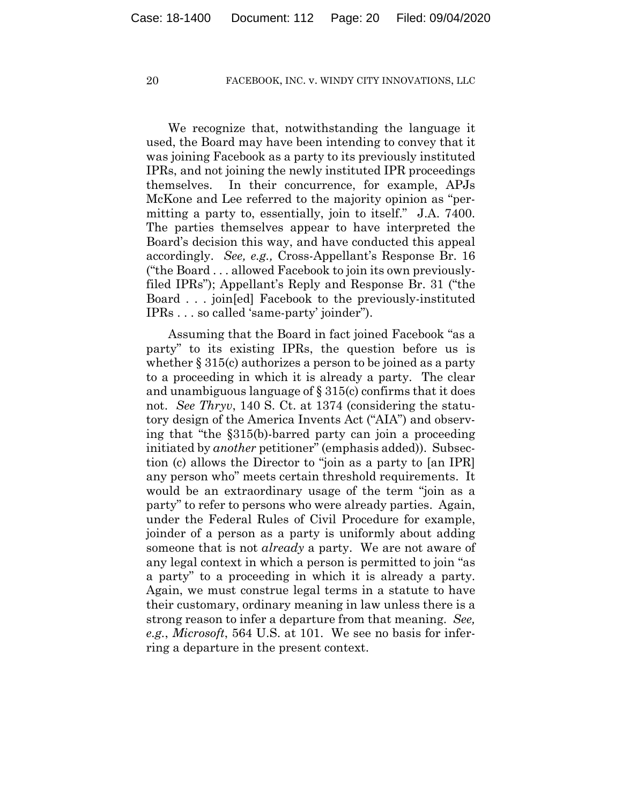We recognize that, notwithstanding the language it used, the Board may have been intending to convey that it was joining Facebook as a party to its previously instituted IPRs, and not joining the newly instituted IPR proceedings themselves. In their concurrence, for example, APJs McKone and Lee referred to the majority opinion as "permitting a party to, essentially, join to itself." J.A. 7400. The parties themselves appear to have interpreted the Board's decision this way, and have conducted this appeal accordingly. *See, e.g.,* Cross-Appellant's Response Br. 16 ("the Board . . . allowed Facebook to join its own previouslyfiled IPRs"); Appellant's Reply and Response Br. 31 ("the Board . . . join[ed] Facebook to the previously-instituted IPRs . . . so called 'same-party' joinder").

Assuming that the Board in fact joined Facebook "as a party" to its existing IPRs, the question before us is whether § 315(c) authorizes a person to be joined as a party to a proceeding in which it is already a party. The clear and unambiguous language of  $\S 315(c)$  confirms that it does not. *See Thryv*, 140 S. Ct. at 1374 (considering the statutory design of the America Invents Act ("AIA") and observing that "the §315(b)-barred party can join a proceeding initiated by *another* petitioner" (emphasis added)). Subsection (c) allows the Director to "join as a party to [an IPR] any person who" meets certain threshold requirements. It would be an extraordinary usage of the term "join as a party" to refer to persons who were already parties. Again, under the Federal Rules of Civil Procedure for example, joinder of a person as a party is uniformly about adding someone that is not *already* a party. We are not aware of any legal context in which a person is permitted to join "as a party" to a proceeding in which it is already a party. Again, we must construe legal terms in a statute to have their customary, ordinary meaning in law unless there is a strong reason to infer a departure from that meaning. *See, e.g.*, *Microsoft*, 564 U.S. at 101. We see no basis for inferring a departure in the present context.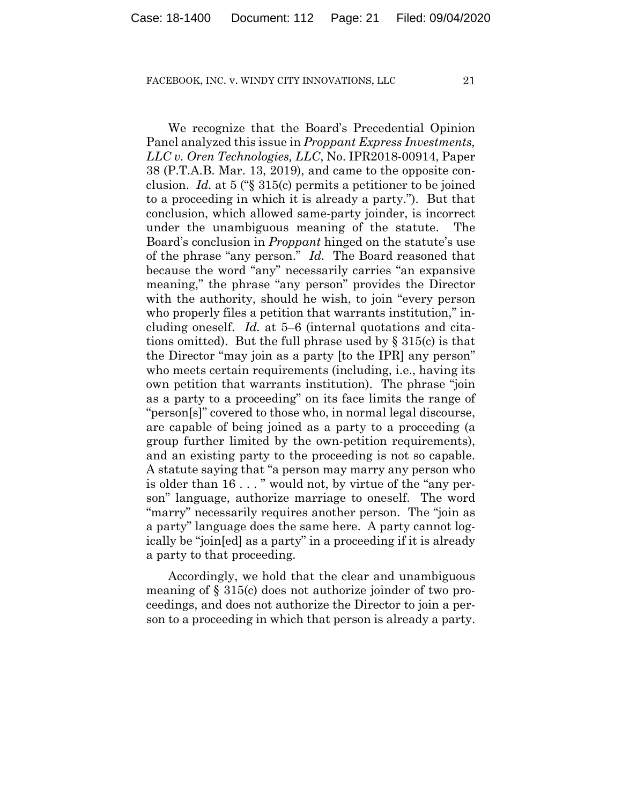We recognize that the Board's Precedential Opinion Panel analyzed this issue in *Proppant Express Investments, LLC v. Oren Technologies, LLC*, No. IPR2018-00914, Paper 38 (P.T.A.B. Mar. 13, 2019), and came to the opposite conclusion. *Id.* at 5 ("§ 315(c) permits a petitioner to be joined to a proceeding in which it is already a party."). But that conclusion, which allowed same-party joinder, is incorrect under the unambiguous meaning of the statute. The Board's conclusion in *Proppant* hinged on the statute's use of the phrase "any person." *Id.* The Board reasoned that because the word "any" necessarily carries "an expansive meaning," the phrase "any person" provides the Director with the authority, should he wish, to join "every person who properly files a petition that warrants institution," including oneself. *Id.* at 5–6 (internal quotations and citations omitted). But the full phrase used by  $\S 315(c)$  is that the Director "may join as a party [to the IPR] any person" who meets certain requirements (including, i.e., having its own petition that warrants institution). The phrase "join as a party to a proceeding" on its face limits the range of "person[s]" covered to those who, in normal legal discourse, are capable of being joined as a party to a proceeding (a group further limited by the own-petition requirements), and an existing party to the proceeding is not so capable. A statute saying that "a person may marry any person who is older than 16 . . . " would not, by virtue of the "any person" language, authorize marriage to oneself. The word "marry" necessarily requires another person. The "join as a party" language does the same here. A party cannot logically be "join[ed] as a party" in a proceeding if it is already a party to that proceeding.

Accordingly, we hold that the clear and unambiguous meaning of § 315(c) does not authorize joinder of two proceedings, and does not authorize the Director to join a person to a proceeding in which that person is already a party.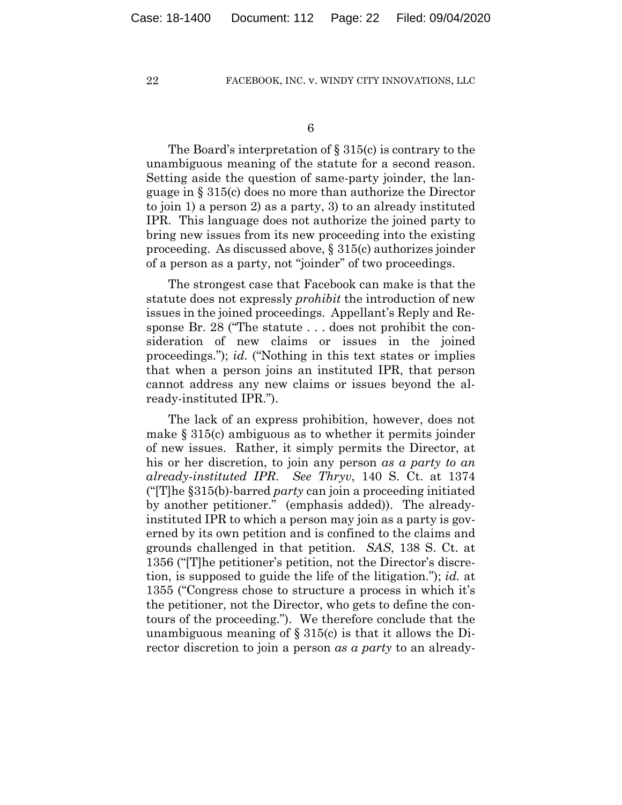The Board's interpretation of § 315(c) is contrary to the unambiguous meaning of the statute for a second reason. Setting aside the question of same-party joinder, the language in § 315(c) does no more than authorize the Director to join 1) a person 2) as a party, 3) to an already instituted IPR. This language does not authorize the joined party to bring new issues from its new proceeding into the existing proceeding. As discussed above, § 315(c) authorizes joinder of a person as a party, not "joinder" of two proceedings.

The strongest case that Facebook can make is that the statute does not expressly *prohibit* the introduction of new issues in the joined proceedings. Appellant's Reply and Response Br. 28 ("The statute . . . does not prohibit the consideration of new claims or issues in the joined proceedings."); *id.* ("Nothing in this text states or implies that when a person joins an instituted IPR, that person cannot address any new claims or issues beyond the already-instituted IPR.").

The lack of an express prohibition, however, does not make § 315(c) ambiguous as to whether it permits joinder of new issues. Rather, it simply permits the Director, at his or her discretion, to join any person *as a party to an already-instituted IPR*. *See Thryv*, 140 S. Ct. at 1374 ("[T]he §315(b)-barred *party* can join a proceeding initiated by another petitioner." (emphasis added)). The alreadyinstituted IPR to which a person may join as a party is governed by its own petition and is confined to the claims and grounds challenged in that petition. *SAS*, 138 S. Ct. at 1356 ("[T]he petitioner's petition, not the Director's discretion, is supposed to guide the life of the litigation."); *id.* at 1355 ("Congress chose to structure a process in which it's the petitioner, not the Director, who gets to define the contours of the proceeding."). We therefore conclude that the unambiguous meaning of  $\S 315(c)$  is that it allows the Director discretion to join a person *as a party* to an already-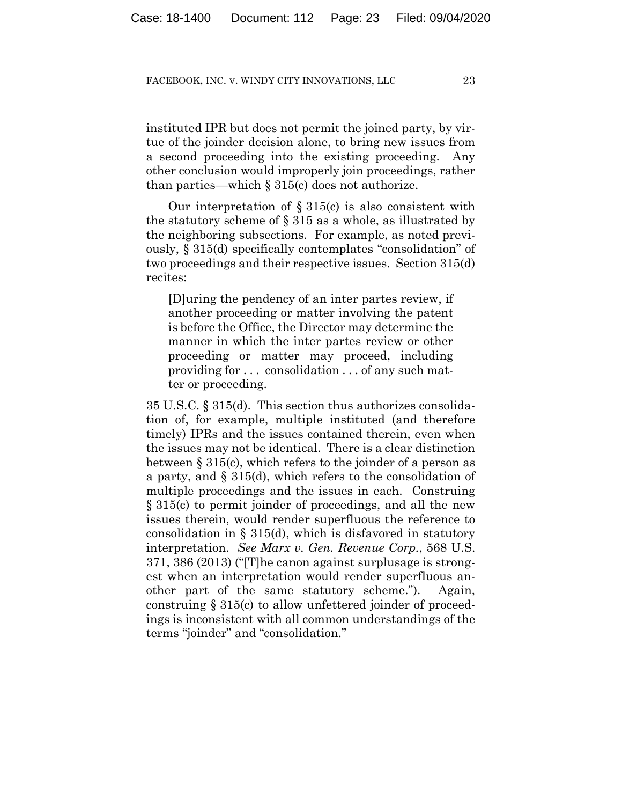instituted IPR but does not permit the joined party, by virtue of the joinder decision alone, to bring new issues from a second proceeding into the existing proceeding. Any other conclusion would improperly join proceedings, rather than parties—which  $\S 315(c)$  does not authorize.

Our interpretation of  $\S 315(c)$  is also consistent with the statutory scheme of § 315 as a whole, as illustrated by the neighboring subsections. For example, as noted previously, § 315(d) specifically contemplates "consolidation" of two proceedings and their respective issues. Section 315(d) recites:

[D]uring the pendency of an inter partes review, if another proceeding or matter involving the patent is before the Office, the Director may determine the manner in which the inter partes review or other proceeding or matter may proceed, including providing for . . . consolidation . . . of any such matter or proceeding.

35 U.S.C. § 315(d). This section thus authorizes consolidation of, for example, multiple instituted (and therefore timely) IPRs and the issues contained therein, even when the issues may not be identical. There is a clear distinction between § 315(c), which refers to the joinder of a person as a party, and § 315(d), which refers to the consolidation of multiple proceedings and the issues in each. Construing § 315(c) to permit joinder of proceedings, and all the new issues therein, would render superfluous the reference to consolidation in § 315(d), which is disfavored in statutory interpretation. *See Marx v. Gen. Revenue Corp.*, 568 U.S. 371, 386 (2013) ("[T]he canon against surplusage is strongest when an interpretation would render superfluous another part of the same statutory scheme."). Again, construing § 315(c) to allow unfettered joinder of proceedings is inconsistent with all common understandings of the terms "joinder" and "consolidation."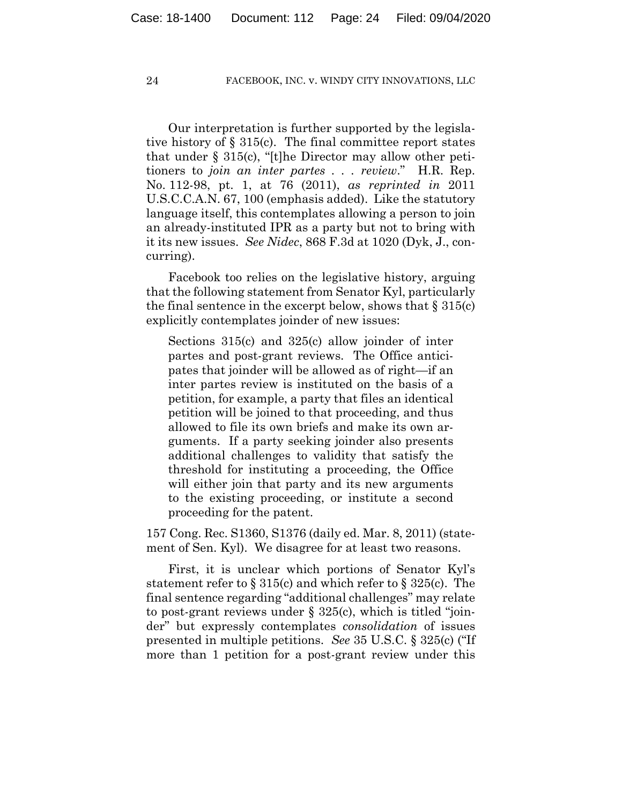Our interpretation is further supported by the legislative history of  $\S 315(c)$ . The final committee report states that under § 315(c), "[t]he Director may allow other petitioners to *join an inter partes . . . review*." H.R. Rep. No. 112-98, pt. 1, at 76 (2011), *as reprinted in* 2011 U.S.C.C.A.N. 67, 100 (emphasis added). Like the statutory language itself, this contemplates allowing a person to join an already-instituted IPR as a party but not to bring with it its new issues. *See Nidec*, 868 F.3d at 1020 (Dyk, J., concurring).

Facebook too relies on the legislative history, arguing that the following statement from Senator Kyl, particularly the final sentence in the excerpt below, shows that  $\S 315(c)$ explicitly contemplates joinder of new issues:

Sections 315(c) and 325(c) allow joinder of inter partes and post-grant reviews. The Office anticipates that joinder will be allowed as of right—if an inter partes review is instituted on the basis of a petition, for example, a party that files an identical petition will be joined to that proceeding, and thus allowed to file its own briefs and make its own arguments. If a party seeking joinder also presents additional challenges to validity that satisfy the threshold for instituting a proceeding, the Office will either join that party and its new arguments to the existing proceeding, or institute a second proceeding for the patent.

157 Cong. Rec. S1360, S1376 (daily ed. Mar. 8, 2011) (statement of Sen. Kyl). We disagree for at least two reasons.

First, it is unclear which portions of Senator Kyl's statement refer to  $\S 315(c)$  and which refer to  $\S 325(c)$ . The final sentence regarding "additional challenges" may relate to post-grant reviews under § 325(c), which is titled "joinder" but expressly contemplates *consolidation* of issues presented in multiple petitions. *See* 35 U.S.C. § 325(c) ("If more than 1 petition for a post-grant review under this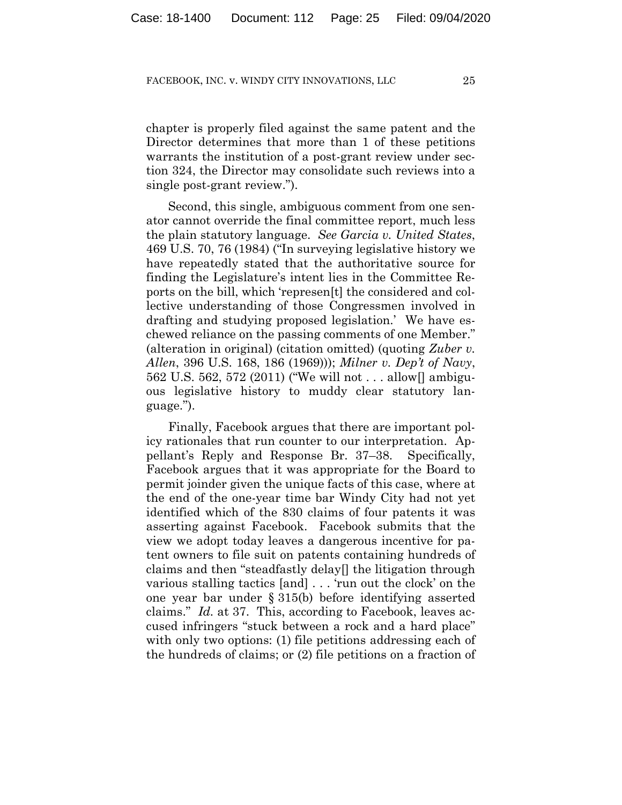chapter is properly filed against the same patent and the Director determines that more than 1 of these petitions warrants the institution of a post-grant review under section 324, the Director may consolidate such reviews into a single post-grant review.").

Second, this single, ambiguous comment from one senator cannot override the final committee report, much less the plain statutory language. *See Garcia v. United States*, 469 U.S. 70, 76 (1984) ("In surveying legislative history we have repeatedly stated that the authoritative source for finding the Legislature's intent lies in the Committee Reports on the bill, which 'represen[t] the considered and collective understanding of those Congressmen involved in drafting and studying proposed legislation.' We have eschewed reliance on the passing comments of one Member." (alteration in original) (citation omitted) (quoting *Zuber v. Allen*, 396 U.S. 168, 186 (1969))); *Milner v. Dep't of Navy*, 562 U.S. 562, 572 (2011) ("We will not . . . allow[] ambiguous legislative history to muddy clear statutory language.").

Finally, Facebook argues that there are important policy rationales that run counter to our interpretation. Appellant's Reply and Response Br. 37–38. Specifically, Facebook argues that it was appropriate for the Board to permit joinder given the unique facts of this case, where at the end of the one-year time bar Windy City had not yet identified which of the 830 claims of four patents it was asserting against Facebook. Facebook submits that the view we adopt today leaves a dangerous incentive for patent owners to file suit on patents containing hundreds of claims and then "steadfastly delay[] the litigation through various stalling tactics [and] . . . 'run out the clock' on the one year bar under § 315(b) before identifying asserted claims." *Id.* at 37. This, according to Facebook, leaves accused infringers "stuck between a rock and a hard place" with only two options: (1) file petitions addressing each of the hundreds of claims; or (2) file petitions on a fraction of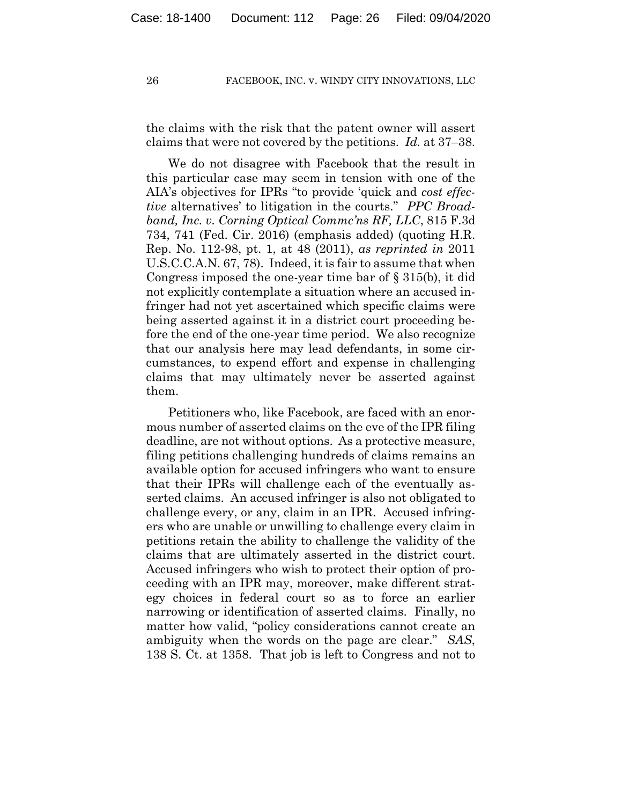the claims with the risk that the patent owner will assert claims that were not covered by the petitions. *Id.* at 37–38.

We do not disagree with Facebook that the result in this particular case may seem in tension with one of the AIA's objectives for IPRs "to provide 'quick and *cost effective* alternatives' to litigation in the courts." *PPC Broadband, Inc. v. Corning Optical Commc'ns RF, LLC*, 815 F.3d 734, 741 (Fed. Cir. 2016) (emphasis added) (quoting H.R. Rep. No. 112-98, pt. 1, at 48 (2011), *as reprinted in* 2011 U.S.C.C.A.N. 67, 78). Indeed, it is fair to assume that when Congress imposed the one-year time bar of § 315(b), it did not explicitly contemplate a situation where an accused infringer had not yet ascertained which specific claims were being asserted against it in a district court proceeding before the end of the one-year time period. We also recognize that our analysis here may lead defendants, in some circumstances, to expend effort and expense in challenging claims that may ultimately never be asserted against them.

Petitioners who, like Facebook, are faced with an enormous number of asserted claims on the eve of the IPR filing deadline, are not without options. As a protective measure, filing petitions challenging hundreds of claims remains an available option for accused infringers who want to ensure that their IPRs will challenge each of the eventually asserted claims. An accused infringer is also not obligated to challenge every, or any, claim in an IPR. Accused infringers who are unable or unwilling to challenge every claim in petitions retain the ability to challenge the validity of the claims that are ultimately asserted in the district court. Accused infringers who wish to protect their option of proceeding with an IPR may, moreover, make different strategy choices in federal court so as to force an earlier narrowing or identification of asserted claims. Finally, no matter how valid, "policy considerations cannot create an ambiguity when the words on the page are clear." *SAS*, 138 S. Ct. at 1358. That job is left to Congress and not to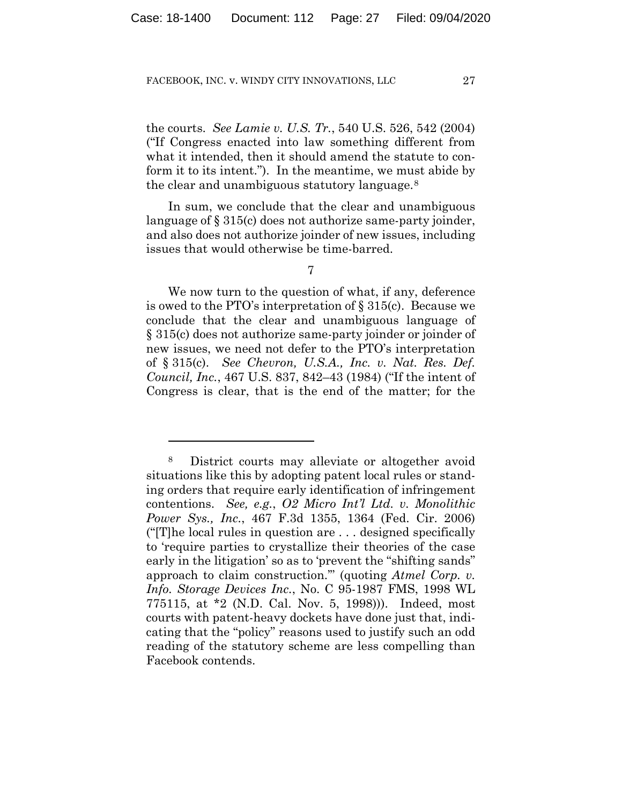the courts. *See Lamie v. U.S. Tr.*, 540 U.S. 526, 542 (2004) ("If Congress enacted into law something different from what it intended, then it should amend the statute to conform it to its intent."). In the meantime, we must abide by the clear and unambiguous statutory language.8

In sum, we conclude that the clear and unambiguous language of § 315(c) does not authorize same-party joinder, and also does not authorize joinder of new issues, including issues that would otherwise be time-barred.

7

We now turn to the question of what, if any, deference is owed to the PTO's interpretation of § 315(c). Because we conclude that the clear and unambiguous language of § 315(c) does not authorize same-party joinder or joinder of new issues, we need not defer to the PTO's interpretation of § 315(c). *See Chevron, U.S.A., Inc. v. Nat. Res. Def. Council, Inc.*, 467 U.S. 837, 842–43 (1984) ("If the intent of Congress is clear, that is the end of the matter; for the

<sup>8</sup> District courts may alleviate or altogether avoid situations like this by adopting patent local rules or standing orders that require early identification of infringement contentions. *See, e.g.*, *O2 Micro Int'l Ltd. v. Monolithic Power Sys., Inc.*, 467 F.3d 1355, 1364 (Fed. Cir. 2006) ("[T]he local rules in question are . . . designed specifically to 'require parties to crystallize their theories of the case early in the litigation' so as to 'prevent the "shifting sands" approach to claim construction.'" (quoting *Atmel Corp. v. Info. Storage Devices Inc.*, No. C 95-1987 FMS, 1998 WL 775115, at \*2 (N.D. Cal. Nov. 5, 1998))). Indeed, most courts with patent-heavy dockets have done just that, indicating that the "policy" reasons used to justify such an odd reading of the statutory scheme are less compelling than Facebook contends.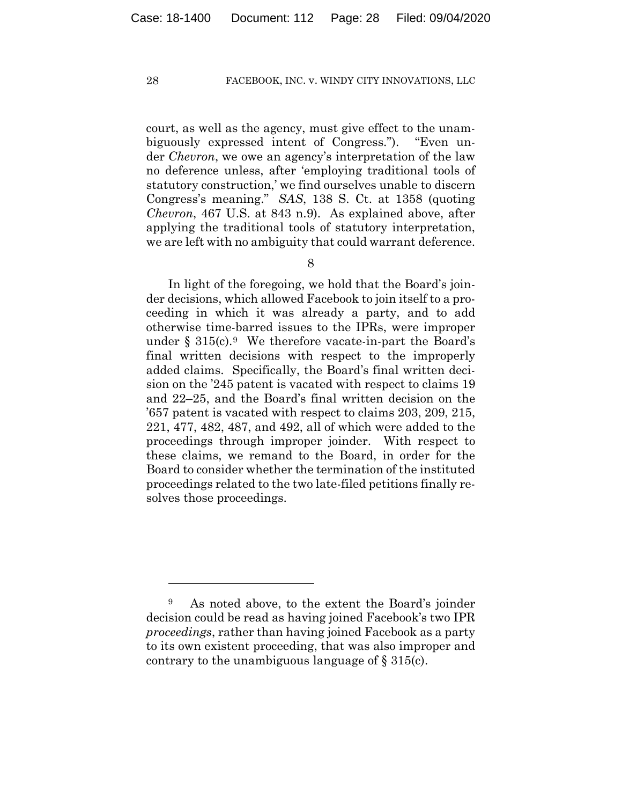court, as well as the agency, must give effect to the unambiguously expressed intent of Congress."). "Even under *Chevron*, we owe an agency's interpretation of the law no deference unless, after 'employing traditional tools of statutory construction,' we find ourselves unable to discern Congress's meaning." *SAS*, 138 S. Ct. at 1358 (quoting *Chevron*, 467 U.S. at 843 n.9). As explained above, after applying the traditional tools of statutory interpretation, we are left with no ambiguity that could warrant deference.

8

In light of the foregoing, we hold that the Board's joinder decisions, which allowed Facebook to join itself to a proceeding in which it was already a party, and to add otherwise time-barred issues to the IPRs, were improper under  $\S 315(c).9$  We therefore vacate-in-part the Board's final written decisions with respect to the improperly added claims. Specifically, the Board's final written decision on the '245 patent is vacated with respect to claims 19 and 22–25, and the Board's final written decision on the '657 patent is vacated with respect to claims 203, 209, 215, 221, 477, 482, 487, and 492, all of which were added to the proceedings through improper joinder. With respect to these claims, we remand to the Board, in order for the Board to consider whether the termination of the instituted proceedings related to the two late-filed petitions finally resolves those proceedings.

<sup>9</sup> As noted above, to the extent the Board's joinder decision could be read as having joined Facebook's two IPR *proceedings*, rather than having joined Facebook as a party to its own existent proceeding, that was also improper and contrary to the unambiguous language of  $\S 315(c)$ .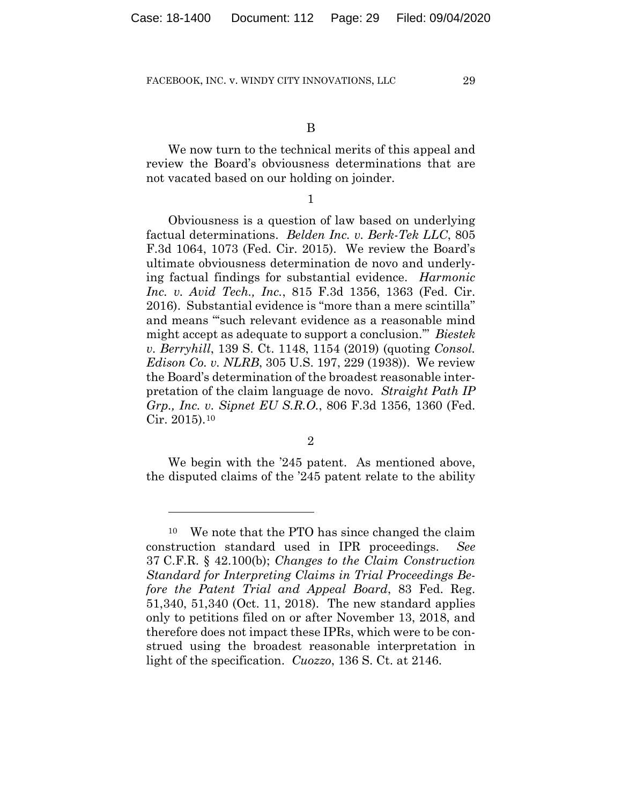B

We now turn to the technical merits of this appeal and review the Board's obviousness determinations that are not vacated based on our holding on joinder.

1

Obviousness is a question of law based on underlying factual determinations. *Belden Inc. v. Berk-Tek LLC*, 805 F.3d 1064, 1073 (Fed. Cir. 2015). We review the Board's ultimate obviousness determination de novo and underlying factual findings for substantial evidence. *Harmonic Inc. v. Avid Tech., Inc.*, 815 F.3d 1356, 1363 (Fed. Cir. 2016). Substantial evidence is "more than a mere scintilla" and means "'such relevant evidence as a reasonable mind might accept as adequate to support a conclusion.'" *Biestek v. Berryhill*, 139 S. Ct. 1148, 1154 (2019) (quoting *Consol. Edison Co. v. NLRB*, 305 U.S. 197, 229 (1938)). We review the Board's determination of the broadest reasonable interpretation of the claim language de novo. *Straight Path IP Grp., Inc. v. Sipnet EU S.R.O.*, 806 F.3d 1356, 1360 (Fed. Cir. 2015).10

2

We begin with the '245 patent. As mentioned above, the disputed claims of the '245 patent relate to the ability

<sup>10</sup> We note that the PTO has since changed the claim construction standard used in IPR proceedings. *See*  37 C.F.R. § 42.100(b); *Changes to the Claim Construction Standard for Interpreting Claims in Trial Proceedings Before the Patent Trial and Appeal Board*, 83 Fed. Reg. 51,340, 51,340 (Oct. 11, 2018). The new standard applies only to petitions filed on or after November 13, 2018, and therefore does not impact these IPRs, which were to be construed using the broadest reasonable interpretation in light of the specification. *Cuozzo*, 136 S. Ct. at 2146.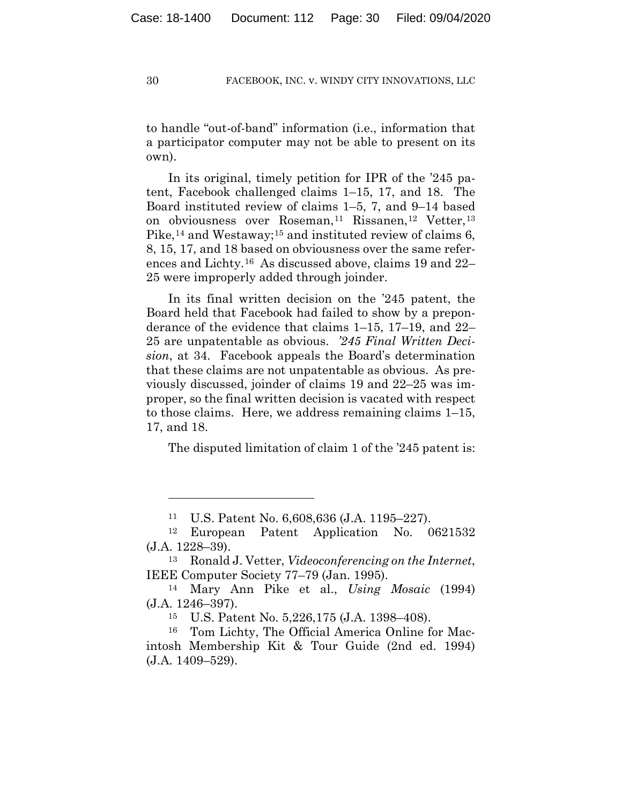to handle "out-of-band" information (i.e., information that a participator computer may not be able to present on its own).

In its original, timely petition for IPR of the '245 patent, Facebook challenged claims 1–15, 17, and 18. The Board instituted review of claims 1–5, 7, and 9–14 based on obviousness over Roseman,<sup>11</sup> Rissanen,<sup>12</sup> Vetter,<sup>13</sup> Pike,<sup>14</sup> and Westaway;<sup>15</sup> and instituted review of claims 6, 8, 15, 17, and 18 based on obviousness over the same references and Lichty.16 As discussed above, claims 19 and 22– 25 were improperly added through joinder.

In its final written decision on the '245 patent, the Board held that Facebook had failed to show by a preponderance of the evidence that claims 1–15, 17–19, and 22– 25 are unpatentable as obvious. *'245 Final Written Decision*, at 34. Facebook appeals the Board's determination that these claims are not unpatentable as obvious. As previously discussed, joinder of claims 19 and 22–25 was improper, so the final written decision is vacated with respect to those claims. Here, we address remaining claims 1–15, 17, and 18.

The disputed limitation of claim 1 of the '245 patent is:

<sup>11</sup> U.S. Patent No. 6,608,636 (J.A. 1195–227).

<sup>12</sup> European Patent Application No. 0621532 (J.A. 1228–39).

<sup>13</sup> Ronald J. Vetter, *Videoconferencing on the Internet*, IEEE Computer Society 77–79 (Jan. 1995).

<sup>14</sup> Mary Ann Pike et al., *Using Mosaic* (1994) (J.A. 1246–397). 15 U.S. Patent No. 5,226,175 (J.A. 1398–408).

<sup>16</sup> Tom Lichty, The Official America Online for Macintosh Membership Kit & Tour Guide (2nd ed. 1994) (J.A. 1409–529).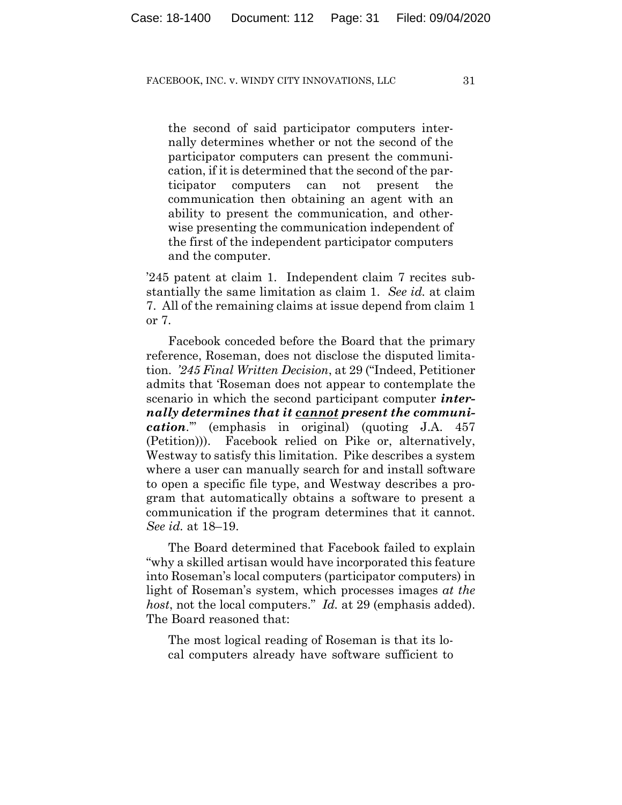the second of said participator computers internally determines whether or not the second of the participator computers can present the communication, if it is determined that the second of the participator computers can not present the communication then obtaining an agent with an ability to present the communication, and otherwise presenting the communication independent of the first of the independent participator computers and the computer.

'245 patent at claim 1. Independent claim 7 recites substantially the same limitation as claim 1. *See id.* at claim 7. All of the remaining claims at issue depend from claim 1 or 7.

Facebook conceded before the Board that the primary reference, Roseman, does not disclose the disputed limitation. *'245 Final Written Decision*, at 29 ("Indeed, Petitioner admits that 'Roseman does not appear to contemplate the scenario in which the second participant computer *internally determines that it cannot present the communication*.'" (emphasis in original) (quoting J.A. 457 (Petition))). Facebook relied on Pike or, alternatively, Westway to satisfy this limitation. Pike describes a system where a user can manually search for and install software to open a specific file type, and Westway describes a program that automatically obtains a software to present a communication if the program determines that it cannot. *See id.* at 18–19.

The Board determined that Facebook failed to explain "why a skilled artisan would have incorporated this feature into Roseman's local computers (participator computers) in light of Roseman's system, which processes images *at the host*, not the local computers." *Id.* at 29 (emphasis added). The Board reasoned that:

The most logical reading of Roseman is that its local computers already have software sufficient to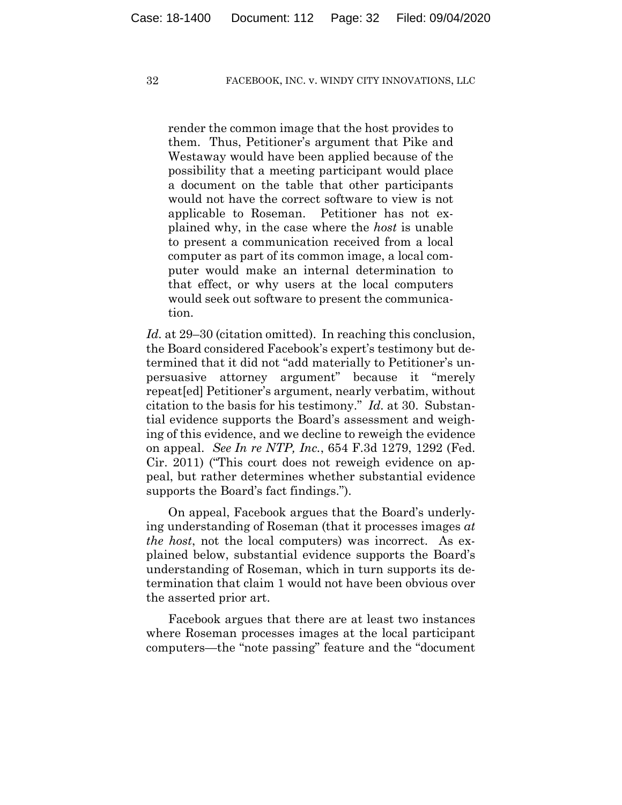render the common image that the host provides to them. Thus, Petitioner's argument that Pike and Westaway would have been applied because of the possibility that a meeting participant would place a document on the table that other participants would not have the correct software to view is not applicable to Roseman. Petitioner has not explained why, in the case where the *host* is unable to present a communication received from a local computer as part of its common image, a local computer would make an internal determination to that effect, or why users at the local computers would seek out software to present the communication.

*Id.* at 29–30 (citation omitted). In reaching this conclusion, the Board considered Facebook's expert's testimony but determined that it did not "add materially to Petitioner's unpersuasive attorney argument" because it "merely repeat[ed] Petitioner's argument, nearly verbatim, without citation to the basis for his testimony." *Id.* at 30. Substantial evidence supports the Board's assessment and weighing of this evidence, and we decline to reweigh the evidence on appeal. *See In re NTP, Inc.*, 654 F.3d 1279, 1292 (Fed. Cir. 2011) ("This court does not reweigh evidence on appeal, but rather determines whether substantial evidence supports the Board's fact findings.").

On appeal, Facebook argues that the Board's underlying understanding of Roseman (that it processes images *at the host*, not the local computers) was incorrect. As explained below, substantial evidence supports the Board's understanding of Roseman, which in turn supports its determination that claim 1 would not have been obvious over the asserted prior art.

Facebook argues that there are at least two instances where Roseman processes images at the local participant computers—the "note passing" feature and the "document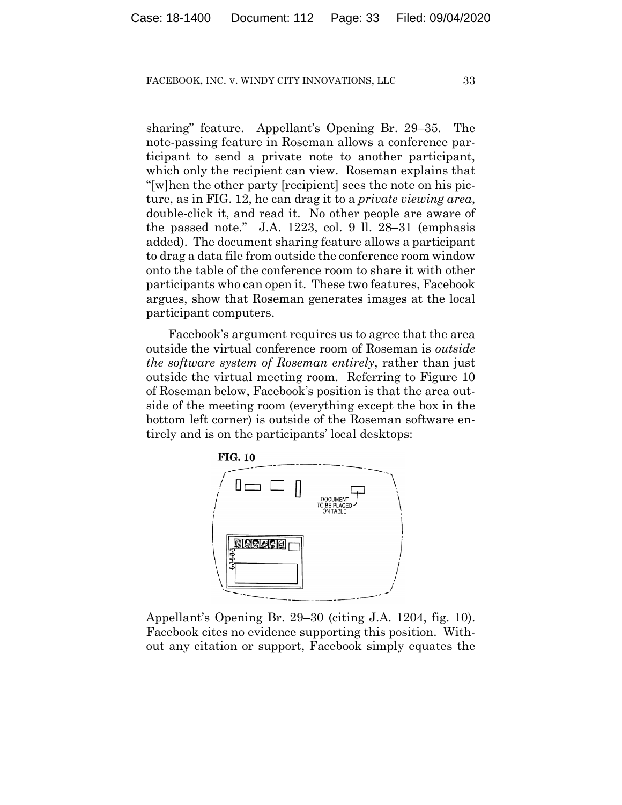sharing" feature. Appellant's Opening Br. 29–35. The note-passing feature in Roseman allows a conference participant to send a private note to another participant, which only the recipient can view. Roseman explains that "[w]hen the other party [recipient] sees the note on his picture, as in FIG. 12, he can drag it to a *private viewing area*, double-click it, and read it. No other people are aware of the passed note." J.A. 1223, col. 9 ll. 28–31 (emphasis added). The document sharing feature allows a participant to drag a data file from outside the conference room window onto the table of the conference room to share it with other participants who can open it. These two features, Facebook argues, show that Roseman generates images at the local participant computers.

Facebook's argument requires us to agree that the area outside the virtual conference room of Roseman is *outside the software system of Roseman entirely*, rather than just outside the virtual meeting room. Referring to Figure 10 of Roseman below, Facebook's position is that the area outside of the meeting room (everything except the box in the bottom left corner) is outside of the Roseman software entirely and is on the participants' local desktops:



Appellant's Opening Br. 29–30 (citing J.A. 1204, fig. 10). Facebook cites no evidence supporting this position. Without any citation or support, Facebook simply equates the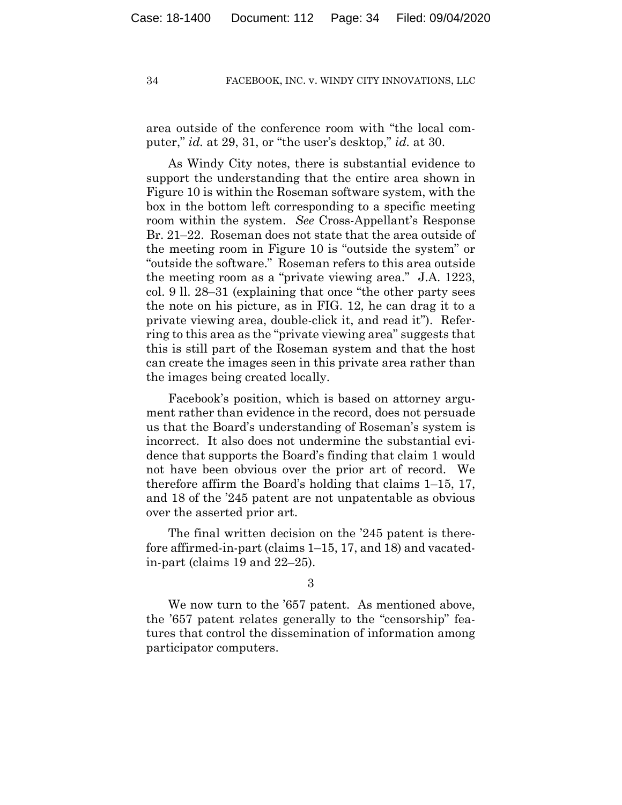area outside of the conference room with "the local computer," *id.* at 29, 31, or "the user's desktop," *id.* at 30.

As Windy City notes, there is substantial evidence to support the understanding that the entire area shown in Figure 10 is within the Roseman software system, with the box in the bottom left corresponding to a specific meeting room within the system. *See* Cross-Appellant's Response Br. 21–22. Roseman does not state that the area outside of the meeting room in Figure 10 is "outside the system" or "outside the software." Roseman refers to this area outside the meeting room as a "private viewing area." J.A. 1223, col. 9 ll. 28–31 (explaining that once "the other party sees the note on his picture, as in FIG. 12, he can drag it to a private viewing area, double-click it, and read it"). Referring to this area as the "private viewing area" suggests that this is still part of the Roseman system and that the host can create the images seen in this private area rather than the images being created locally.

Facebook's position, which is based on attorney argument rather than evidence in the record, does not persuade us that the Board's understanding of Roseman's system is incorrect. It also does not undermine the substantial evidence that supports the Board's finding that claim 1 would not have been obvious over the prior art of record. We therefore affirm the Board's holding that claims 1–15, 17, and 18 of the '245 patent are not unpatentable as obvious over the asserted prior art.

The final written decision on the '245 patent is therefore affirmed-in-part (claims 1–15, 17, and 18) and vacatedin-part (claims 19 and 22–25).

3

We now turn to the '657 patent. As mentioned above, the '657 patent relates generally to the "censorship" features that control the dissemination of information among participator computers.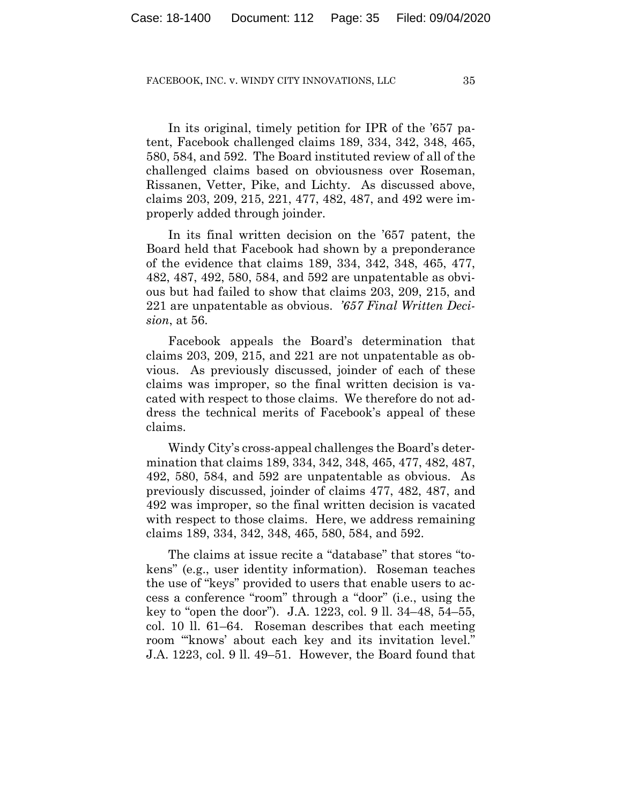In its original, timely petition for IPR of the '657 patent, Facebook challenged claims 189, 334, 342, 348, 465, 580, 584, and 592. The Board instituted review of all of the challenged claims based on obviousness over Roseman, Rissanen, Vetter, Pike, and Lichty. As discussed above, claims 203, 209, 215, 221, 477, 482, 487, and 492 were improperly added through joinder.

In its final written decision on the '657 patent, the Board held that Facebook had shown by a preponderance of the evidence that claims 189, 334, 342, 348, 465, 477, 482, 487, 492, 580, 584, and 592 are unpatentable as obvious but had failed to show that claims 203, 209, 215, and 221 are unpatentable as obvious. *'657 Final Written Decision*, at 56.

Facebook appeals the Board's determination that claims 203, 209, 215, and 221 are not unpatentable as obvious. As previously discussed, joinder of each of these claims was improper, so the final written decision is vacated with respect to those claims. We therefore do not address the technical merits of Facebook's appeal of these claims.

Windy City's cross-appeal challenges the Board's determination that claims 189, 334, 342, 348, 465, 477, 482, 487, 492, 580, 584, and 592 are unpatentable as obvious. As previously discussed, joinder of claims 477, 482, 487, and 492 was improper, so the final written decision is vacated with respect to those claims. Here, we address remaining claims 189, 334, 342, 348, 465, 580, 584, and 592.

The claims at issue recite a "database" that stores "tokens" (e.g., user identity information). Roseman teaches the use of "keys" provided to users that enable users to access a conference "room" through a "door" (i.e., using the key to "open the door"). J.A. 1223, col. 9 ll. 34–48, 54–55, col. 10 ll. 61–64. Roseman describes that each meeting room "'knows' about each key and its invitation level." J.A. 1223, col. 9 ll. 49–51. However, the Board found that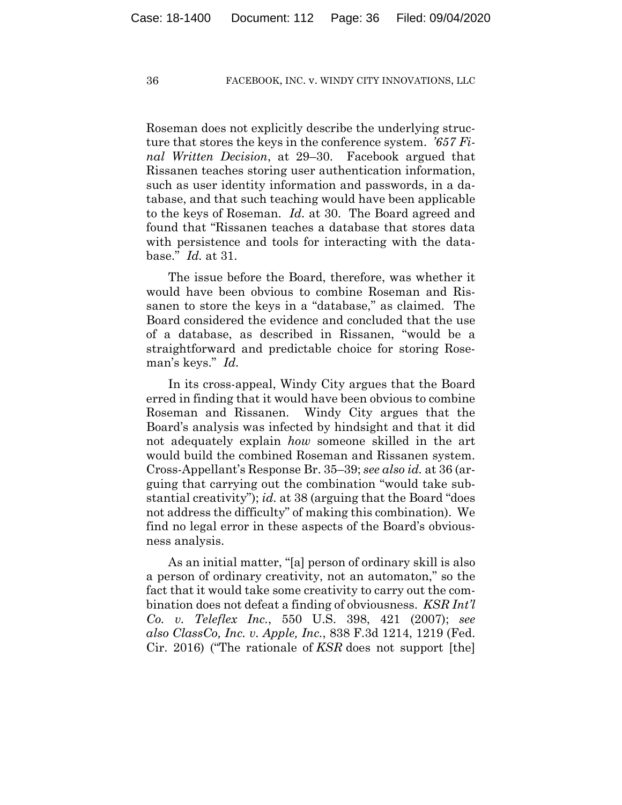Roseman does not explicitly describe the underlying structure that stores the keys in the conference system. *'657 Final Written Decision*, at 29–30. Facebook argued that Rissanen teaches storing user authentication information, such as user identity information and passwords, in a database, and that such teaching would have been applicable to the keys of Roseman. *Id.* at 30. The Board agreed and found that "Rissanen teaches a database that stores data with persistence and tools for interacting with the database." *Id.* at 31.

The issue before the Board, therefore, was whether it would have been obvious to combine Roseman and Rissanen to store the keys in a "database," as claimed. The Board considered the evidence and concluded that the use of a database, as described in Rissanen, "would be a straightforward and predictable choice for storing Roseman's keys." *Id.*

In its cross-appeal, Windy City argues that the Board erred in finding that it would have been obvious to combine Roseman and Rissanen. Windy City argues that the Board's analysis was infected by hindsight and that it did not adequately explain *how* someone skilled in the art would build the combined Roseman and Rissanen system. Cross-Appellant's Response Br. 35–39; *see also id.* at 36 (arguing that carrying out the combination "would take substantial creativity"); *id.* at 38 (arguing that the Board "does not address the difficulty" of making this combination). We find no legal error in these aspects of the Board's obviousness analysis.

As an initial matter, "[a] person of ordinary skill is also a person of ordinary creativity, not an automaton," so the fact that it would take some creativity to carry out the combination does not defeat a finding of obviousness. *KSR Int'l Co. v. Teleflex Inc.*, 550 U.S. 398, 421 (2007); *see also ClassCo, Inc. v. Apple, Inc.*, 838 F.3d 1214, 1219 (Fed. Cir. 2016) ("The rationale of *KSR* does not support [the]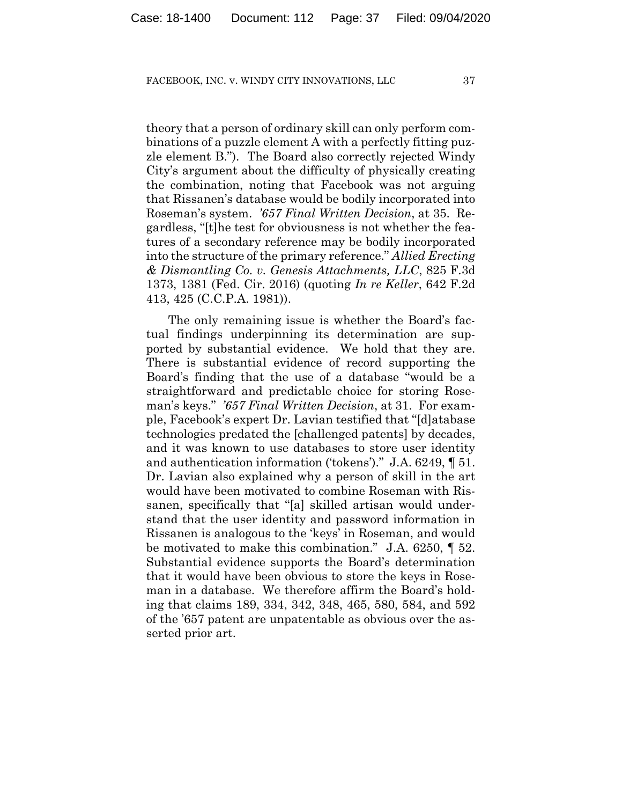theory that a person of ordinary skill can only perform combinations of a puzzle element A with a perfectly fitting puzzle element B."). The Board also correctly rejected Windy City's argument about the difficulty of physically creating the combination, noting that Facebook was not arguing that Rissanen's database would be bodily incorporated into Roseman's system. *'657 Final Written Decision*, at 35. Regardless, "[t]he test for obviousness is not whether the features of a secondary reference may be bodily incorporated into the structure of the primary reference." *Allied Erecting & Dismantling Co. v. Genesis Attachments, LLC*, 825 F.3d 1373, 1381 (Fed. Cir. 2016) (quoting *In re Keller*, 642 F.2d 413, 425 (C.C.P.A. 1981)).

The only remaining issue is whether the Board's factual findings underpinning its determination are supported by substantial evidence. We hold that they are. There is substantial evidence of record supporting the Board's finding that the use of a database "would be a straightforward and predictable choice for storing Roseman's keys." *'657 Final Written Decision*, at 31. For example, Facebook's expert Dr. Lavian testified that "[d]atabase technologies predated the [challenged patents] by decades, and it was known to use databases to store user identity and authentication information ('tokens')." J.A. 6249, ¶ 51. Dr. Lavian also explained why a person of skill in the art would have been motivated to combine Roseman with Rissanen, specifically that "[a] skilled artisan would understand that the user identity and password information in Rissanen is analogous to the 'keys' in Roseman, and would be motivated to make this combination." J.A. 6250, ¶ 52. Substantial evidence supports the Board's determination that it would have been obvious to store the keys in Roseman in a database. We therefore affirm the Board's holding that claims 189, 334, 342, 348, 465, 580, 584, and 592 of the '657 patent are unpatentable as obvious over the asserted prior art.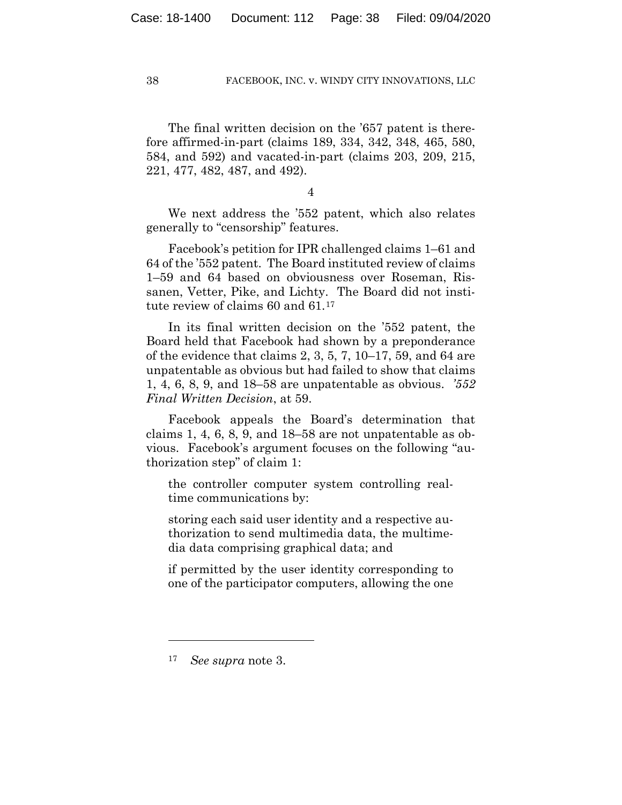The final written decision on the '657 patent is therefore affirmed-in-part (claims 189, 334, 342, 348, 465, 580, 584, and 592) and vacated-in-part (claims 203, 209, 215, 221, 477, 482, 487, and 492).

4

We next address the '552 patent, which also relates generally to "censorship" features.

Facebook's petition for IPR challenged claims 1–61 and 64 of the '552 patent. The Board instituted review of claims 1–59 and 64 based on obviousness over Roseman, Rissanen, Vetter, Pike, and Lichty. The Board did not institute review of claims 60 and 61.17

In its final written decision on the '552 patent, the Board held that Facebook had shown by a preponderance of the evidence that claims 2, 3, 5, 7, 10–17, 59, and 64 are unpatentable as obvious but had failed to show that claims 1, 4, 6, 8, 9, and 18–58 are unpatentable as obvious. *'552 Final Written Decision*, at 59.

Facebook appeals the Board's determination that claims 1, 4, 6, 8, 9, and 18–58 are not unpatentable as obvious. Facebook's argument focuses on the following "authorization step" of claim 1:

the controller computer system controlling realtime communications by:

storing each said user identity and a respective authorization to send multimedia data, the multimedia data comprising graphical data; and

if permitted by the user identity corresponding to one of the participator computers, allowing the one

<sup>17</sup> *See supra* note 3.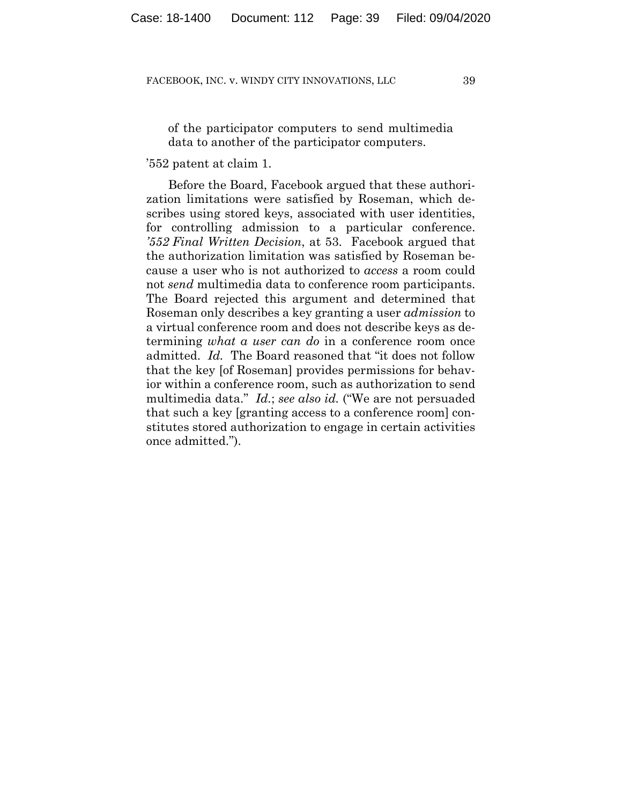of the participator computers to send multimedia data to another of the participator computers.

## '552 patent at claim 1.

Before the Board, Facebook argued that these authorization limitations were satisfied by Roseman, which describes using stored keys, associated with user identities, for controlling admission to a particular conference. *'552 Final Written Decision*, at 53. Facebook argued that the authorization limitation was satisfied by Roseman because a user who is not authorized to *access* a room could not *send* multimedia data to conference room participants. The Board rejected this argument and determined that Roseman only describes a key granting a user *admission* to a virtual conference room and does not describe keys as determining *what a user can do* in a conference room once admitted. *Id.* The Board reasoned that "it does not follow that the key [of Roseman] provides permissions for behavior within a conference room, such as authorization to send multimedia data." *Id.*; *see also id.* ("We are not persuaded that such a key [granting access to a conference room] constitutes stored authorization to engage in certain activities once admitted.").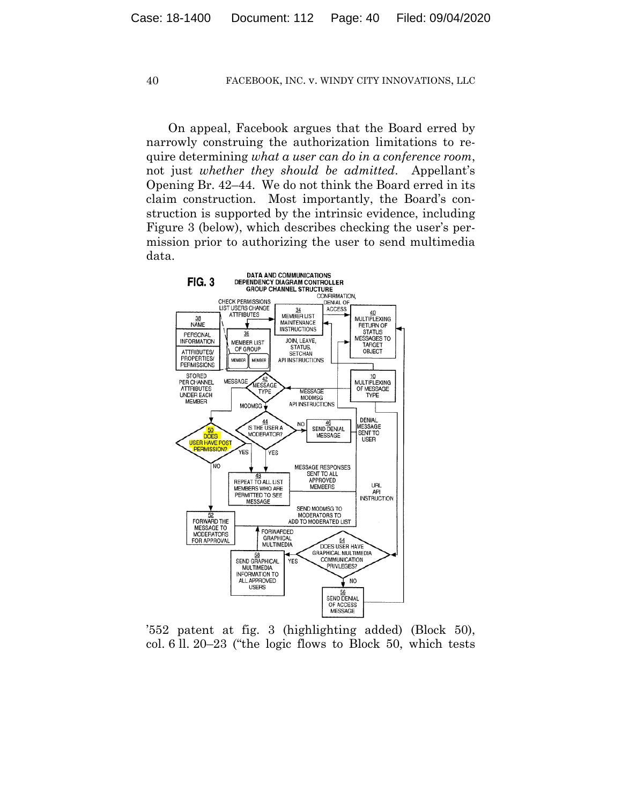On appeal, Facebook argues that the Board erred by narrowly construing the authorization limitations to require determining *what a user can do in a conference room*, not just *whether they should be admitted*. Appellant's Opening Br. 42–44. We do not think the Board erred in its claim construction. Most importantly, the Board's construction is supported by the intrinsic evidence, including Figure 3 (below), which describes checking the user's permission prior to authorizing the user to send multimedia data.



'552 patent at fig. 3 (highlighting added) (Block 50), col. 6 ll. 20–23 ("the logic flows to Block 50, which tests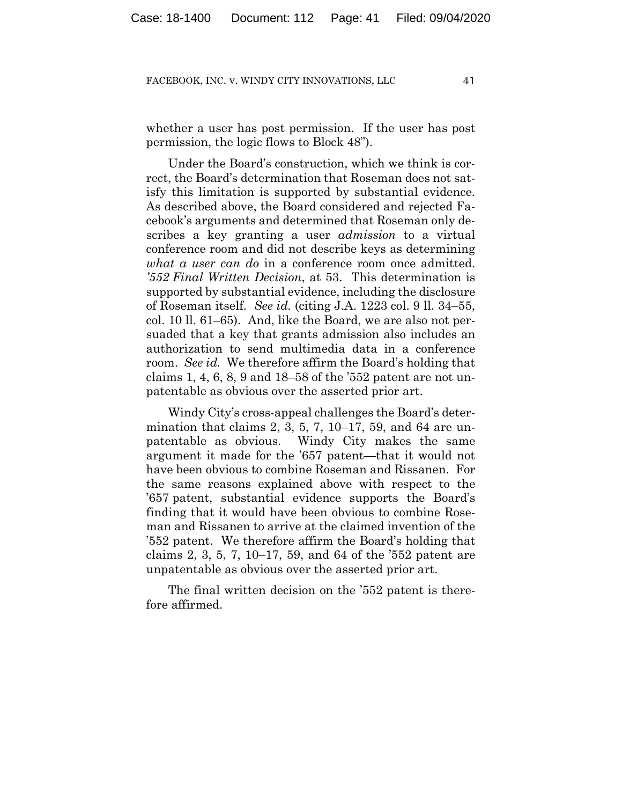whether a user has post permission. If the user has post permission, the logic flows to Block 48").

Under the Board's construction, which we think is correct, the Board's determination that Roseman does not satisfy this limitation is supported by substantial evidence. As described above, the Board considered and rejected Facebook's arguments and determined that Roseman only describes a key granting a user *admission* to a virtual conference room and did not describe keys as determining *what a user can do* in a conference room once admitted. *'552 Final Written Decision*, at 53. This determination is supported by substantial evidence, including the disclosure of Roseman itself. *See id.* (citing J.A. 1223 col. 9 ll. 34–55, col. 10 ll. 61–65). And, like the Board, we are also not persuaded that a key that grants admission also includes an authorization to send multimedia data in a conference room. *See id.* We therefore affirm the Board's holding that claims 1, 4, 6, 8, 9 and 18–58 of the '552 patent are not unpatentable as obvious over the asserted prior art.

Windy City's cross-appeal challenges the Board's determination that claims 2, 3, 5, 7, 10–17, 59, and 64 are unpatentable as obvious. Windy City makes the same argument it made for the '657 patent—that it would not have been obvious to combine Roseman and Rissanen. For the same reasons explained above with respect to the '657 patent, substantial evidence supports the Board's finding that it would have been obvious to combine Roseman and Rissanen to arrive at the claimed invention of the '552 patent. We therefore affirm the Board's holding that claims 2, 3, 5, 7, 10–17, 59, and 64 of the '552 patent are unpatentable as obvious over the asserted prior art.

The final written decision on the '552 patent is therefore affirmed.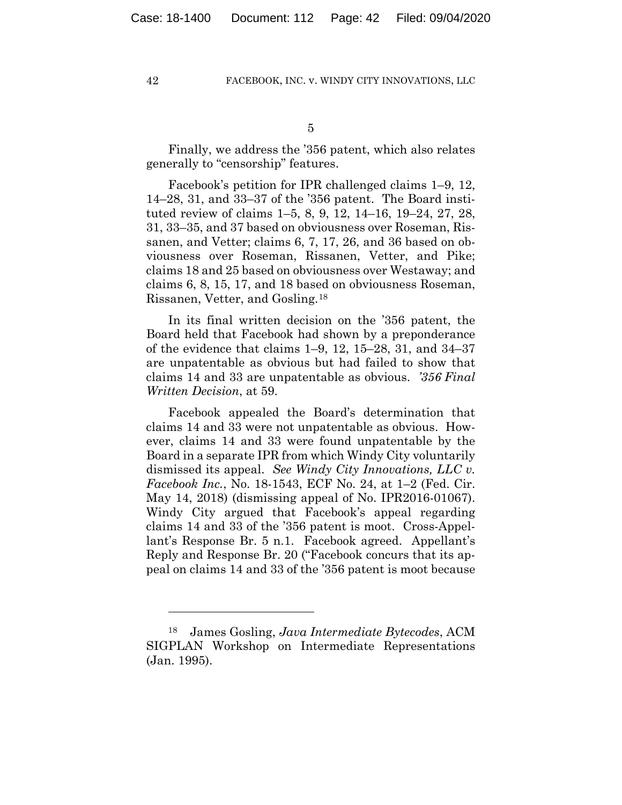Finally, we address the '356 patent, which also relates generally to "censorship" features.

Facebook's petition for IPR challenged claims 1–9, 12, 14–28, 31, and 33–37 of the '356 patent. The Board instituted review of claims 1–5, 8, 9, 12, 14–16, 19–24, 27, 28, 31, 33–35, and 37 based on obviousness over Roseman, Rissanen, and Vetter; claims 6, 7, 17, 26, and 36 based on obviousness over Roseman, Rissanen, Vetter, and Pike; claims 18 and 25 based on obviousness over Westaway; and claims 6, 8, 15, 17, and 18 based on obviousness Roseman, Rissanen, Vetter, and Gosling.18

In its final written decision on the '356 patent, the Board held that Facebook had shown by a preponderance of the evidence that claims 1–9, 12, 15–28, 31, and 34–37 are unpatentable as obvious but had failed to show that claims 14 and 33 are unpatentable as obvious. *'356 Final Written Decision*, at 59.

Facebook appealed the Board's determination that claims 14 and 33 were not unpatentable as obvious. However, claims 14 and 33 were found unpatentable by the Board in a separate IPR from which Windy City voluntarily dismissed its appeal. *See Windy City Innovations, LLC v. Facebook Inc.*, No. 18-1543, ECF No. 24, at 1–2 (Fed. Cir. May 14, 2018) (dismissing appeal of No. IPR2016-01067). Windy City argued that Facebook's appeal regarding claims 14 and 33 of the '356 patent is moot. Cross-Appellant's Response Br. 5 n.1. Facebook agreed. Appellant's Reply and Response Br. 20 ("Facebook concurs that its appeal on claims 14 and 33 of the '356 patent is moot because

<sup>18</sup> James Gosling, *Java Intermediate Bytecodes*, ACM SIGPLAN Workshop on Intermediate Representations (Jan. 1995).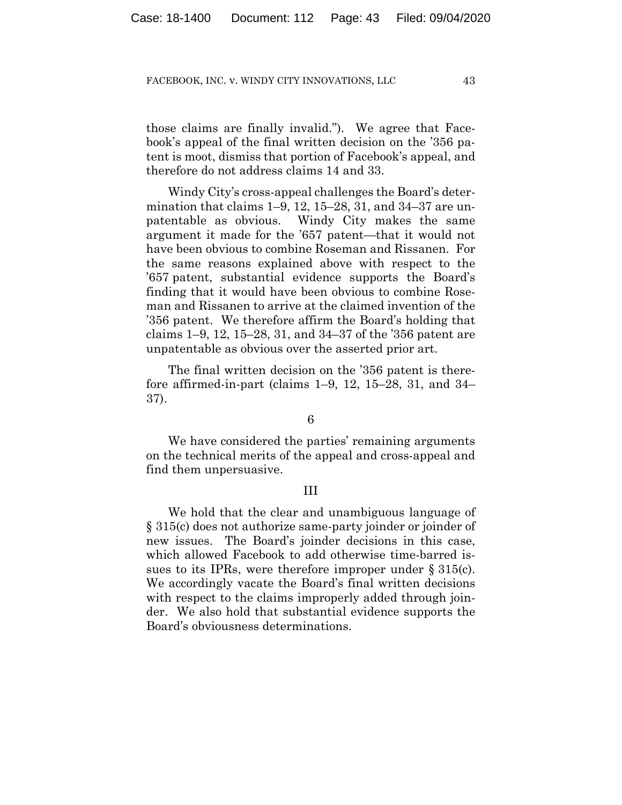those claims are finally invalid."). We agree that Facebook's appeal of the final written decision on the '356 patent is moot, dismiss that portion of Facebook's appeal, and therefore do not address claims 14 and 33.

Windy City's cross-appeal challenges the Board's determination that claims 1–9, 12, 15–28, 31, and 34–37 are unpatentable as obvious. Windy City makes the same argument it made for the '657 patent—that it would not have been obvious to combine Roseman and Rissanen. For the same reasons explained above with respect to the '657 patent, substantial evidence supports the Board's finding that it would have been obvious to combine Roseman and Rissanen to arrive at the claimed invention of the '356 patent. We therefore affirm the Board's holding that claims 1–9, 12, 15–28, 31, and 34–37 of the '356 patent are unpatentable as obvious over the asserted prior art.

The final written decision on the '356 patent is therefore affirmed-in-part (claims 1–9, 12, 15–28, 31, and 34– 37).

6

We have considered the parties' remaining arguments on the technical merits of the appeal and cross-appeal and find them unpersuasive.

## III

We hold that the clear and unambiguous language of § 315(c) does not authorize same-party joinder or joinder of new issues. The Board's joinder decisions in this case, which allowed Facebook to add otherwise time-barred issues to its IPRs, were therefore improper under § 315(c). We accordingly vacate the Board's final written decisions with respect to the claims improperly added through joinder. We also hold that substantial evidence supports the Board's obviousness determinations.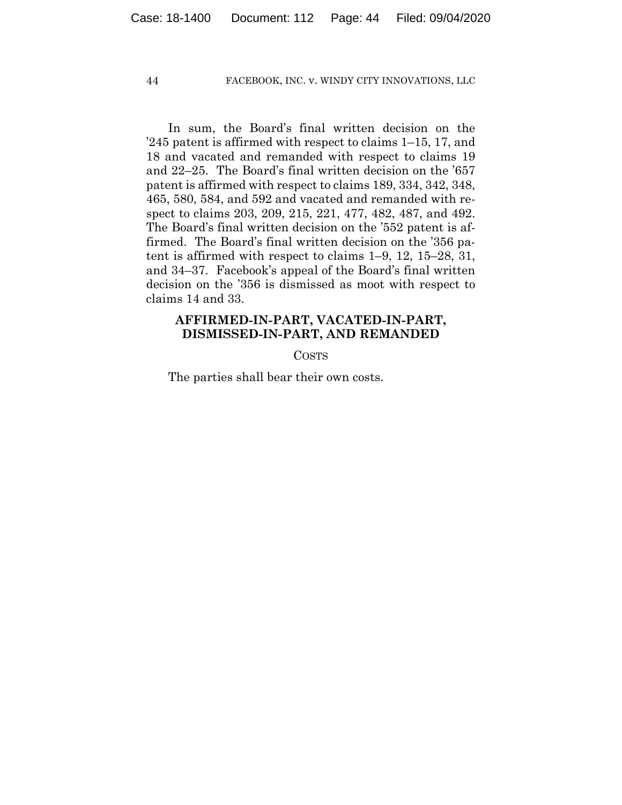In sum, the Board's final written decision on the '245 patent is affirmed with respect to claims 1–15, 17, and 18 and vacated and remanded with respect to claims 19 and 22–25. The Board's final written decision on the '657 patent is affirmed with respect to claims 189, 334, 342, 348, 465, 580, 584, and 592 and vacated and remanded with respect to claims 203, 209, 215, 221, 477, 482, 487, and 492. The Board's final written decision on the '552 patent is affirmed. The Board's final written decision on the '356 patent is affirmed with respect to claims 1–9, 12, 15–28, 31, and 34–37. Facebook's appeal of the Board's final written decision on the '356 is dismissed as moot with respect to claims 14 and 33.

## **AFFIRMED-IN-PART, VACATED-IN-PART, DISMISSED-IN-PART, AND REMANDED**

COSTS

The parties shall bear their own costs.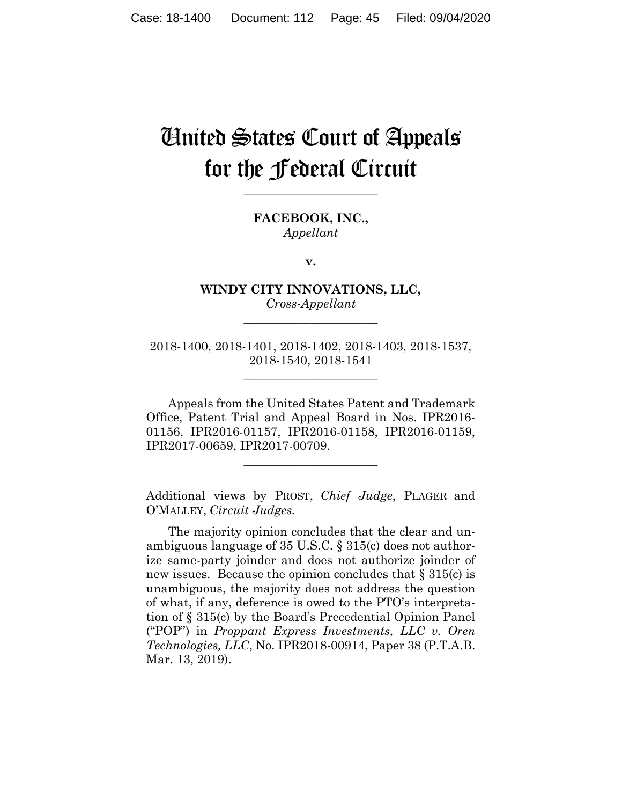## United States Court of Appeals for the Federal Circuit

**FACEBOOK, INC.,** *Appellant*

**\_\_\_\_\_\_\_\_\_\_\_\_\_\_\_\_\_\_\_\_\_\_**

**v.**

**WINDY CITY INNOVATIONS, LLC,** *Cross-Appellant*

**\_\_\_\_\_\_\_\_\_\_\_\_\_\_\_\_\_\_\_\_\_\_**

2018-1400, 2018-1401, 2018-1402, 2018-1403, 2018-1537, 2018-1540, 2018-1541

**\_\_\_\_\_\_\_\_\_\_\_\_\_\_\_\_\_\_\_\_\_\_**

Appeals from the United States Patent and Trademark Office, Patent Trial and Appeal Board in Nos. IPR2016- 01156, IPR2016-01157, IPR2016-01158, IPR2016-01159, IPR2017-00659, IPR2017-00709.

**\_\_\_\_\_\_\_\_\_\_\_\_\_\_\_\_\_\_\_\_\_\_**

Additional views by PROST, *Chief Judge*, PLAGER and O'MALLEY, *Circuit Judges.*

The majority opinion concludes that the clear and unambiguous language of 35 U.S.C. § 315(c) does not authorize same-party joinder and does not authorize joinder of new issues. Because the opinion concludes that § 315(c) is unambiguous, the majority does not address the question of what, if any, deference is owed to the PTO's interpretation of § 315(c) by the Board's Precedential Opinion Panel ("POP") in *Proppant Express Investments, LLC v. Oren Technologies, LLC*, No. IPR2018-00914, Paper 38 (P.T.A.B. Mar. 13, 2019).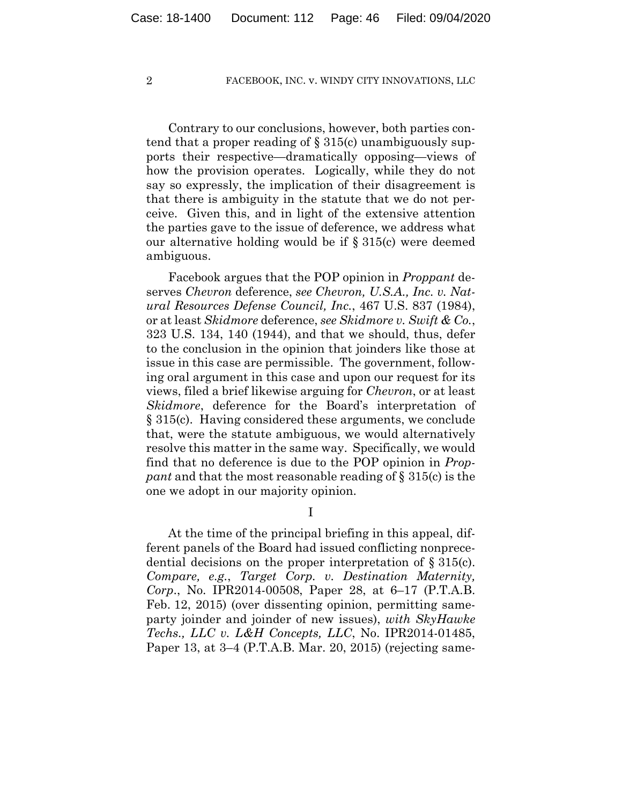Contrary to our conclusions, however, both parties contend that a proper reading of  $\S 315(c)$  unambiguously supports their respective—dramatically opposing—views of how the provision operates. Logically, while they do not say so expressly, the implication of their disagreement is that there is ambiguity in the statute that we do not perceive. Given this, and in light of the extensive attention the parties gave to the issue of deference, we address what our alternative holding would be if § 315(c) were deemed ambiguous.

Facebook argues that the POP opinion in *Proppant* deserves *Chevron* deference, *see Chevron, U.S.A., Inc. v. Natural Resources Defense Council, Inc.*, 467 U.S. 837 (1984), or at least *Skidmore* deference, *see Skidmore v. Swift & Co.*, 323 U.S. 134, 140 (1944), and that we should, thus, defer to the conclusion in the opinion that joinders like those at issue in this case are permissible. The government, following oral argument in this case and upon our request for its views, filed a brief likewise arguing for *Chevron*, or at least *Skidmore*, deference for the Board's interpretation of § 315(c). Having considered these arguments, we conclude that, were the statute ambiguous, we would alternatively resolve this matter in the same way. Specifically, we would find that no deference is due to the POP opinion in *Proppant* and that the most reasonable reading of § 315(c) is the one we adopt in our majority opinion.

I

At the time of the principal briefing in this appeal, different panels of the Board had issued conflicting nonprecedential decisions on the proper interpretation of § 315(c). *Compare, e.g.*, *Target Corp. v. Destination Maternity, Corp*., No. IPR2014-00508, Paper 28, at 6–17 (P.T.A.B. Feb. 12, 2015) (over dissenting opinion, permitting sameparty joinder and joinder of new issues), *with SkyHawke Techs., LLC v. L&H Concepts, LLC*, No. IPR2014-01485, Paper 13, at 3–4 (P.T.A.B. Mar. 20, 2015) (rejecting same-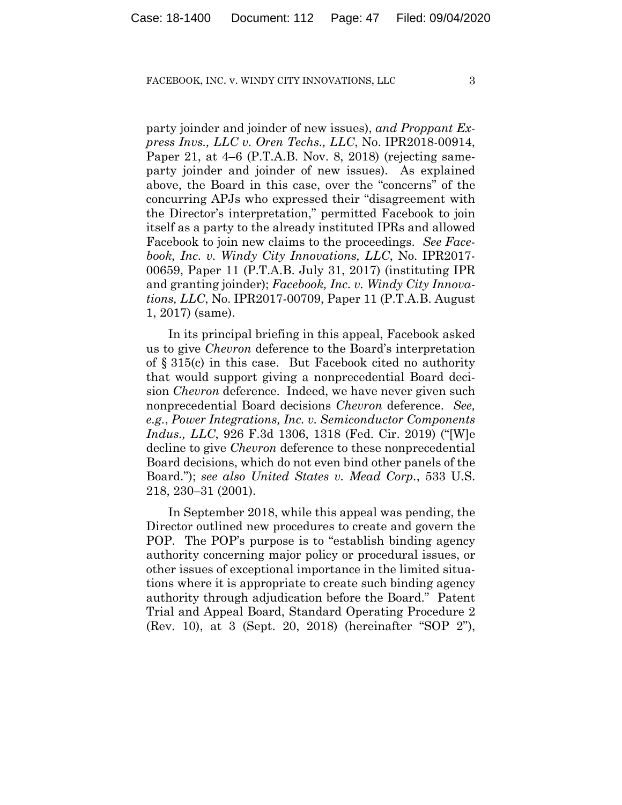party joinder and joinder of new issues), *and Proppant Express Invs., LLC v. Oren Techs., LLC*, No. IPR2018-00914, Paper 21, at 4–6 (P.T.A.B. Nov. 8, 2018) (rejecting sameparty joinder and joinder of new issues). As explained above, the Board in this case, over the "concerns" of the concurring APJs who expressed their "disagreement with the Director's interpretation," permitted Facebook to join itself as a party to the already instituted IPRs and allowed Facebook to join new claims to the proceedings. *See Facebook, Inc. v. Windy City Innovations, LLC*, No. IPR2017- 00659, Paper 11 (P.T.A.B. July 31, 2017) (instituting IPR and granting joinder); *Facebook, Inc. v. Windy City Innovations, LLC*, No. IPR2017-00709, Paper 11 (P.T.A.B. August 1, 2017) (same).

In its principal briefing in this appeal, Facebook asked us to give *Chevron* deference to the Board's interpretation of § 315(c) in this case. But Facebook cited no authority that would support giving a nonprecedential Board decision *Chevron* deference. Indeed, we have never given such nonprecedential Board decisions *Chevron* deference. *See, e.g.*, *Power Integrations, Inc. v. Semiconductor Components Indus., LLC*, 926 F.3d 1306, 1318 (Fed. Cir. 2019) ("[W]e decline to give *Chevron* deference to these nonprecedential Board decisions, which do not even bind other panels of the Board."); *see also United States v. Mead Corp.*, 533 U.S. 218, 230–31 (2001).

In September 2018, while this appeal was pending, the Director outlined new procedures to create and govern the POP. The POP's purpose is to "establish binding agency authority concerning major policy or procedural issues, or other issues of exceptional importance in the limited situations where it is appropriate to create such binding agency authority through adjudication before the Board." Patent Trial and Appeal Board, Standard Operating Procedure 2 (Rev. 10), at 3 (Sept. 20, 2018) (hereinafter "SOP 2"),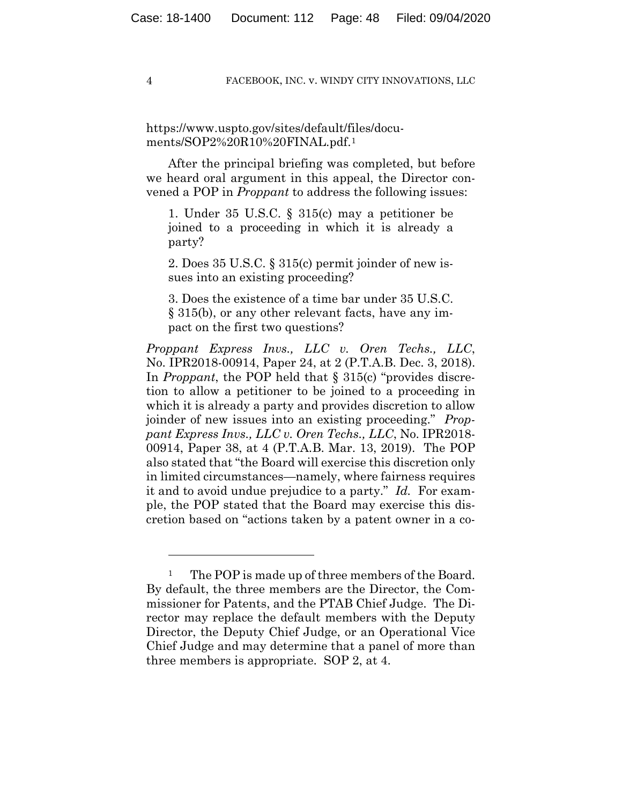https://www.uspto.gov/sites/default/files/documents/SOP2%20R10%20FINAL.pdf.1

After the principal briefing was completed, but before we heard oral argument in this appeal, the Director convened a POP in *Proppant* to address the following issues:

1. Under 35 U.S.C. § 315(c) may a petitioner be joined to a proceeding in which it is already a party?

2. Does 35 U.S.C. § 315(c) permit joinder of new issues into an existing proceeding?

3. Does the existence of a time bar under 35 U.S.C. § 315(b), or any other relevant facts, have any impact on the first two questions?

*Proppant Express Invs., LLC v. Oren Techs., LLC*, No. IPR2018-00914, Paper 24, at 2 (P.T.A.B. Dec. 3, 2018). In *Proppant*, the POP held that § 315(c) "provides discretion to allow a petitioner to be joined to a proceeding in which it is already a party and provides discretion to allow joinder of new issues into an existing proceeding." *Proppant Express Invs., LLC v. Oren Techs., LLC*, No. IPR2018- 00914, Paper 38, at 4 (P.T.A.B. Mar. 13, 2019). The POP also stated that "the Board will exercise this discretion only in limited circumstances—namely, where fairness requires it and to avoid undue prejudice to a party." *Id.* For example, the POP stated that the Board may exercise this discretion based on "actions taken by a patent owner in a co-

The POP is made up of three members of the Board. By default, the three members are the Director, the Commissioner for Patents, and the PTAB Chief Judge. The Director may replace the default members with the Deputy Director, the Deputy Chief Judge, or an Operational Vice Chief Judge and may determine that a panel of more than three members is appropriate. SOP 2, at 4.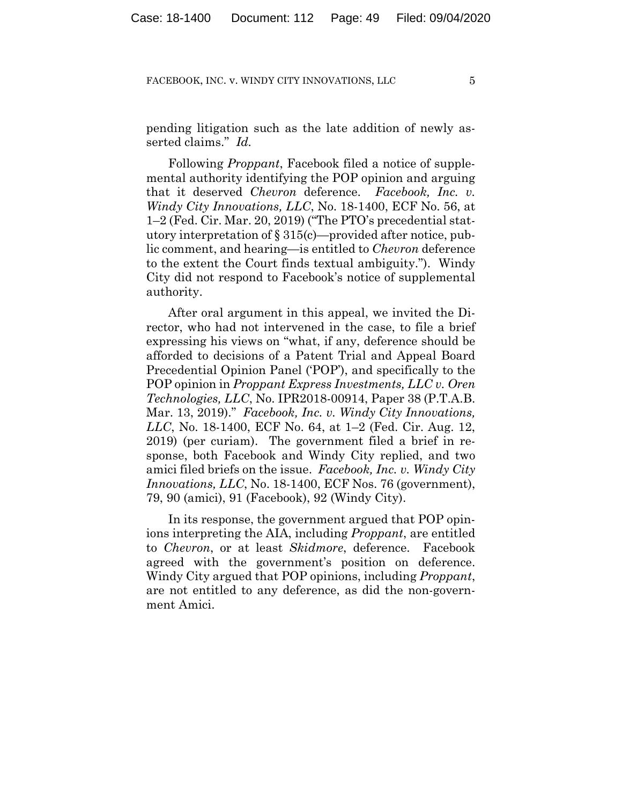pending litigation such as the late addition of newly asserted claims." *Id.*

Following *Proppant*, Facebook filed a notice of supplemental authority identifying the POP opinion and arguing that it deserved *Chevron* deference. *Facebook, Inc. v. Windy City Innovations, LLC*, No. 18-1400, ECF No. 56, at 1–2 (Fed. Cir. Mar. 20, 2019) ("The PTO's precedential statutory interpretation of § 315(c)—provided after notice, public comment, and hearing—is entitled to *Chevron* deference to the extent the Court finds textual ambiguity."). Windy City did not respond to Facebook's notice of supplemental authority.

After oral argument in this appeal, we invited the Director, who had not intervened in the case, to file a brief expressing his views on "what, if any, deference should be afforded to decisions of a Patent Trial and Appeal Board Precedential Opinion Panel ('POP'), and specifically to the POP opinion in *Proppant Express Investments, LLC v. Oren Technologies, LLC*, No. IPR2018-00914, Paper 38 (P.T.A.B. Mar. 13, 2019)." *Facebook, Inc. v. Windy City Innovations, LLC*, No. 18-1400, ECF No. 64, at 1–2 (Fed. Cir. Aug. 12, 2019) (per curiam). The government filed a brief in response, both Facebook and Windy City replied, and two amici filed briefs on the issue. *Facebook, Inc. v. Windy City Innovations, LLC*, No. 18-1400, ECF Nos. 76 (government), 79, 90 (amici), 91 (Facebook), 92 (Windy City).

In its response, the government argued that POP opinions interpreting the AIA, including *Proppant*, are entitled to *Chevron*, or at least *Skidmore*, deference. Facebook agreed with the government's position on deference. Windy City argued that POP opinions, including *Proppant*, are not entitled to any deference, as did the non-government Amici.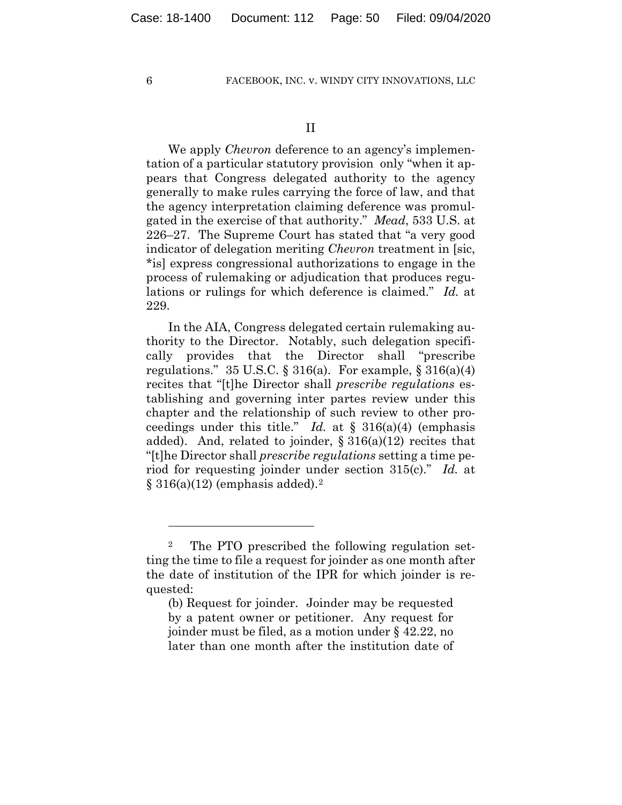We apply *Chevron* deference to an agency's implementation of a particular statutory provision only "when it appears that Congress delegated authority to the agency generally to make rules carrying the force of law, and that the agency interpretation claiming deference was promulgated in the exercise of that authority." *Mead*, 533 U.S. at 226–27. The Supreme Court has stated that "a very good indicator of delegation meriting *Chevron* treatment in [sic, \*is] express congressional authorizations to engage in the process of rulemaking or adjudication that produces regulations or rulings for which deference is claimed." *Id.* at 229.

In the AIA, Congress delegated certain rulemaking authority to the Director. Notably, such delegation specifically provides that the Director shall "prescribe regulations."  $35 \text{ U.S.C.}$  §  $316(a)$ . For example, §  $316(a)(4)$ recites that "[t]he Director shall *prescribe regulations* establishing and governing inter partes review under this chapter and the relationship of such review to other proceedings under this title." *Id.* at § 316(a)(4) (emphasis added). And, related to joinder,  $\S 316(a)(12)$  recites that "[t]he Director shall *prescribe regulations* setting a time period for requesting joinder under section 315(c)." *Id.* at  $\S 316(a)(12)$  (emphasis added).<sup>2</sup>

<sup>2</sup> The PTO prescribed the following regulation setting the time to file a request for joinder as one month after the date of institution of the IPR for which joinder is requested:

<sup>(</sup>b) Request for joinder. Joinder may be requested by a patent owner or petitioner. Any request for joinder must be filed, as a motion under § 42.22, no later than one month after the institution date of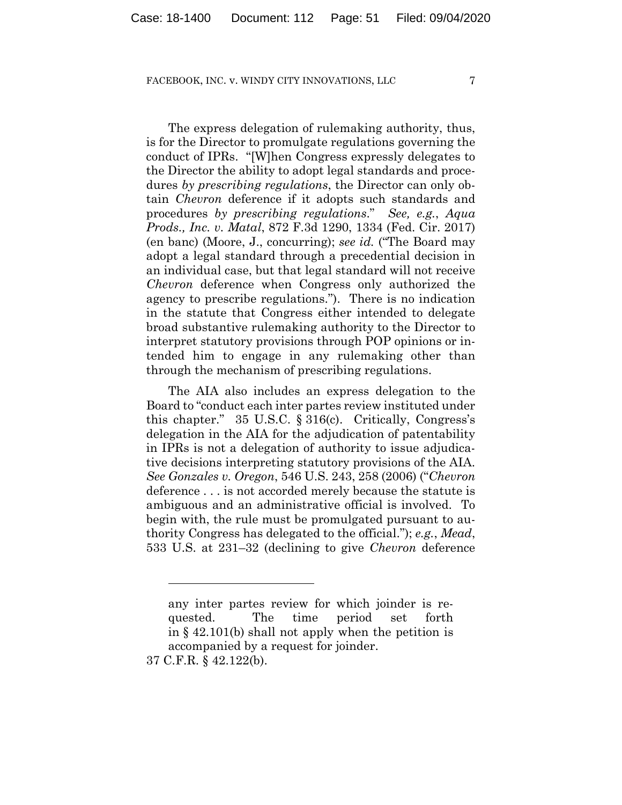The express delegation of rulemaking authority, thus, is for the Director to promulgate regulations governing the conduct of IPRs. "[W]hen Congress expressly delegates to the Director the ability to adopt legal standards and procedures *by prescribing regulations*, the Director can only obtain *Chevron* deference if it adopts such standards and procedures *by prescribing regulations*." *See, e.g.*, *Aqua Prods., Inc. v. Matal*, 872 F.3d 1290, 1334 (Fed. Cir. 2017) (en banc) (Moore, J., concurring); *see id.* ("The Board may adopt a legal standard through a precedential decision in an individual case, but that legal standard will not receive *Chevron* deference when Congress only authorized the agency to prescribe regulations."). There is no indication in the statute that Congress either intended to delegate broad substantive rulemaking authority to the Director to interpret statutory provisions through POP opinions or intended him to engage in any rulemaking other than through the mechanism of prescribing regulations.

The AIA also includes an express delegation to the Board to "conduct each inter partes review instituted under this chapter." 35 U.S.C. § 316(c). Critically, Congress's delegation in the AIA for the adjudication of patentability in IPRs is not a delegation of authority to issue adjudicative decisions interpreting statutory provisions of the AIA. *See Gonzales v. Oregon*, 546 U.S. 243, 258 (2006) ("*Chevron* deference . . . is not accorded merely because the statute is ambiguous and an administrative official is involved. To begin with, the rule must be promulgated pursuant to authority Congress has delegated to the official."); *e.g.*, *Mead*, 533 U.S. at 231–32 (declining to give *Chevron* deference

any inter partes review for which joinder is requested. The time period set forth in § 42.101(b) shall not apply when the petition is accompanied by a request for joinder.

<sup>37</sup> C.F.R. § 42.122(b).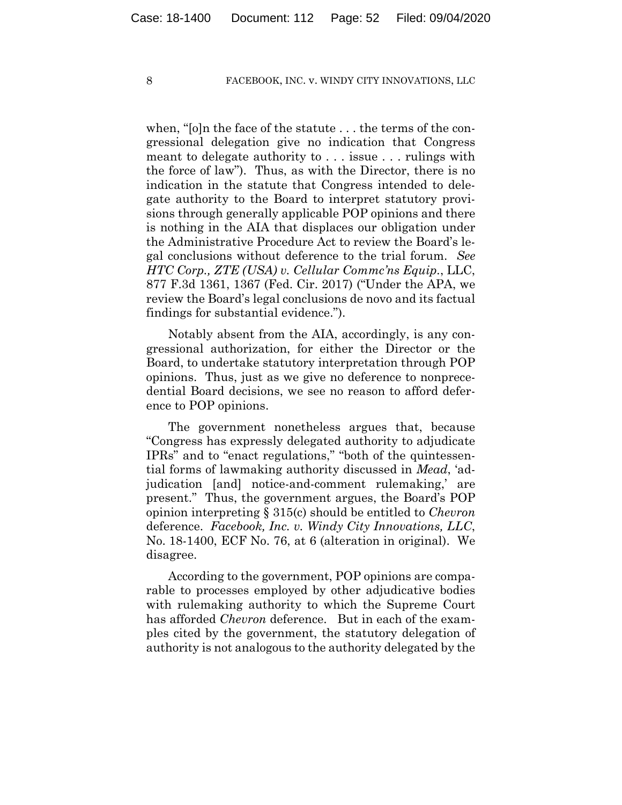when, "[o]n the face of the statute . . . the terms of the congressional delegation give no indication that Congress meant to delegate authority to . . . issue . . . rulings with the force of law"). Thus, as with the Director, there is no indication in the statute that Congress intended to delegate authority to the Board to interpret statutory provisions through generally applicable POP opinions and there is nothing in the AIA that displaces our obligation under the Administrative Procedure Act to review the Board's legal conclusions without deference to the trial forum. *See HTC Corp., ZTE (USA) v. Cellular Commc'ns Equip.*, LLC, 877 F.3d 1361, 1367 (Fed. Cir. 2017) ("Under the APA, we review the Board's legal conclusions de novo and its factual findings for substantial evidence.").

Notably absent from the AIA, accordingly, is any congressional authorization, for either the Director or the Board, to undertake statutory interpretation through POP opinions. Thus, just as we give no deference to nonprecedential Board decisions, we see no reason to afford deference to POP opinions.

The government nonetheless argues that, because "Congress has expressly delegated authority to adjudicate IPRs" and to "enact regulations," "both of the quintessential forms of lawmaking authority discussed in *Mead*, 'adjudication [and] notice-and-comment rulemaking,' are present." Thus, the government argues, the Board's POP opinion interpreting § 315(c) should be entitled to *Chevron* deference. *Facebook, Inc. v. Windy City Innovations, LLC*, No. 18-1400, ECF No. 76, at 6 (alteration in original). We disagree.

According to the government, POP opinions are comparable to processes employed by other adjudicative bodies with rulemaking authority to which the Supreme Court has afforded *Chevron* deference. But in each of the examples cited by the government, the statutory delegation of authority is not analogous to the authority delegated by the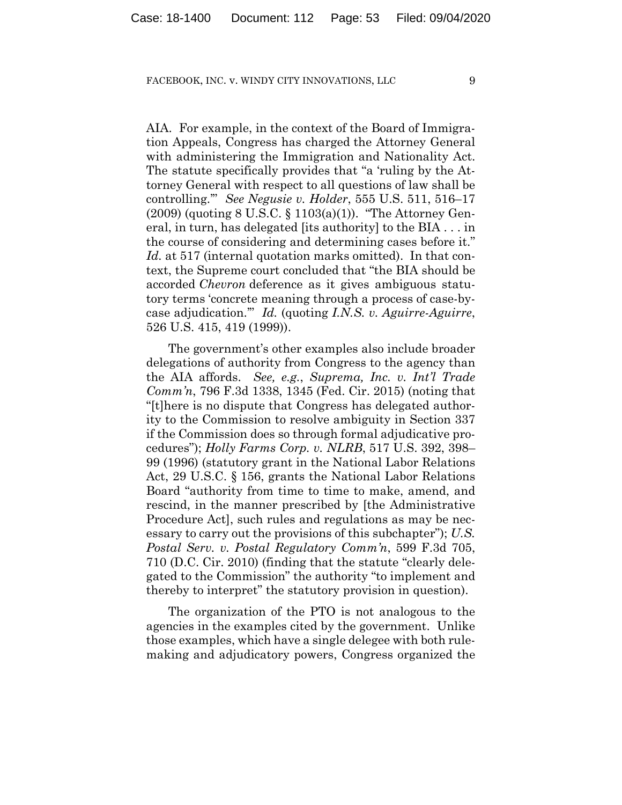AIA. For example, in the context of the Board of Immigration Appeals, Congress has charged the Attorney General with administering the Immigration and Nationality Act. The statute specifically provides that "a 'ruling by the Attorney General with respect to all questions of law shall be controlling.'" *See Negusie v. Holder*, 555 U.S. 511, 516–17  $(2009)$  (quoting 8 U.S.C. § 1103(a)(1)). "The Attorney General, in turn, has delegated [its authority] to the BIA . . . in the course of considering and determining cases before it." *Id.* at 517 (internal quotation marks omitted). In that context, the Supreme court concluded that "the BIA should be accorded *Chevron* deference as it gives ambiguous statutory terms 'concrete meaning through a process of case-bycase adjudication.'" *Id.* (quoting *I.N.S. v. Aguirre-Aguirre*, 526 U.S. 415, 419 (1999)).

The government's other examples also include broader delegations of authority from Congress to the agency than the AIA affords. *See, e.g.*, *Suprema, Inc. v. Int'l Trade Comm'n*, 796 F.3d 1338, 1345 (Fed. Cir. 2015) (noting that "[t]here is no dispute that Congress has delegated authority to the Commission to resolve ambiguity in Section 337 if the Commission does so through formal adjudicative procedures"); *Holly Farms Corp. v. NLRB*, 517 U.S. 392, 398– 99 (1996) (statutory grant in the National Labor Relations Act, 29 U.S.C. § 156, grants the National Labor Relations Board "authority from time to time to make, amend, and rescind, in the manner prescribed by [the Administrative Procedure Act], such rules and regulations as may be necessary to carry out the provisions of this subchapter"); *U.S. Postal Serv. v. Postal Regulatory Comm'n*, 599 F.3d 705, 710 (D.C. Cir. 2010) (finding that the statute "clearly delegated to the Commission" the authority "to implement and thereby to interpret" the statutory provision in question).

The organization of the PTO is not analogous to the agencies in the examples cited by the government. Unlike those examples, which have a single delegee with both rulemaking and adjudicatory powers, Congress organized the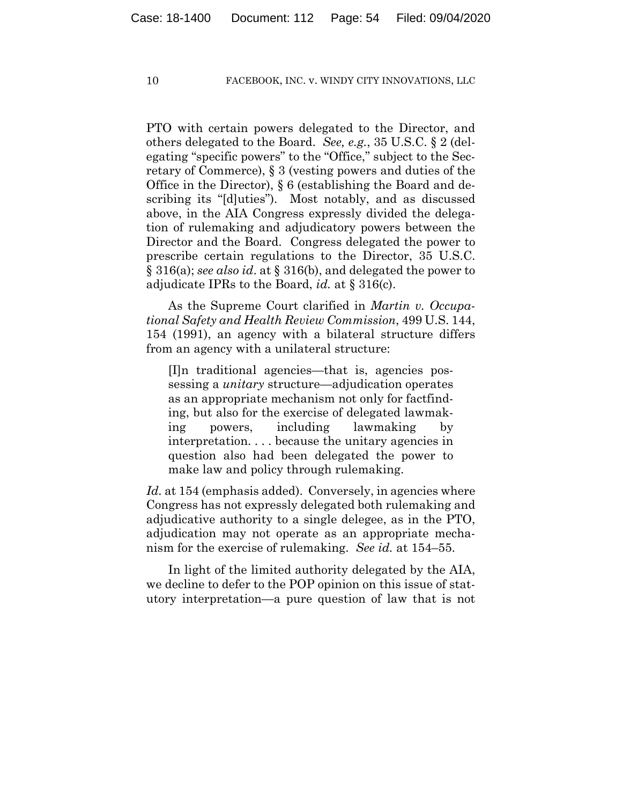PTO with certain powers delegated to the Director, and others delegated to the Board. *See, e.g.*, 35 U.S.C. § 2 (delegating "specific powers" to the "Office," subject to the Secretary of Commerce), § 3 (vesting powers and duties of the Office in the Director), § 6 (establishing the Board and describing its "[d]uties"). Most notably, and as discussed above, in the AIA Congress expressly divided the delegation of rulemaking and adjudicatory powers between the Director and the Board. Congress delegated the power to prescribe certain regulations to the Director, 35 U.S.C. § 316(a); *see also id*. at § 316(b), and delegated the power to adjudicate IPRs to the Board, *id.* at § 316(c).

As the Supreme Court clarified in *Martin v. Occupational Safety and Health Review Commission*, 499 U.S. 144, 154 (1991), an agency with a bilateral structure differs from an agency with a unilateral structure:

[I]n traditional agencies—that is, agencies possessing a *unitary* structure—adjudication operates as an appropriate mechanism not only for factfinding, but also for the exercise of delegated lawmaking powers, including lawmaking by interpretation. . . . because the unitary agencies in question also had been delegated the power to make law and policy through rulemaking.

Id. at 154 (emphasis added). Conversely, in agencies where Congress has not expressly delegated both rulemaking and adjudicative authority to a single delegee, as in the PTO, adjudication may not operate as an appropriate mechanism for the exercise of rulemaking. *See id.* at 154–55.

In light of the limited authority delegated by the AIA, we decline to defer to the POP opinion on this issue of statutory interpretation—a pure question of law that is not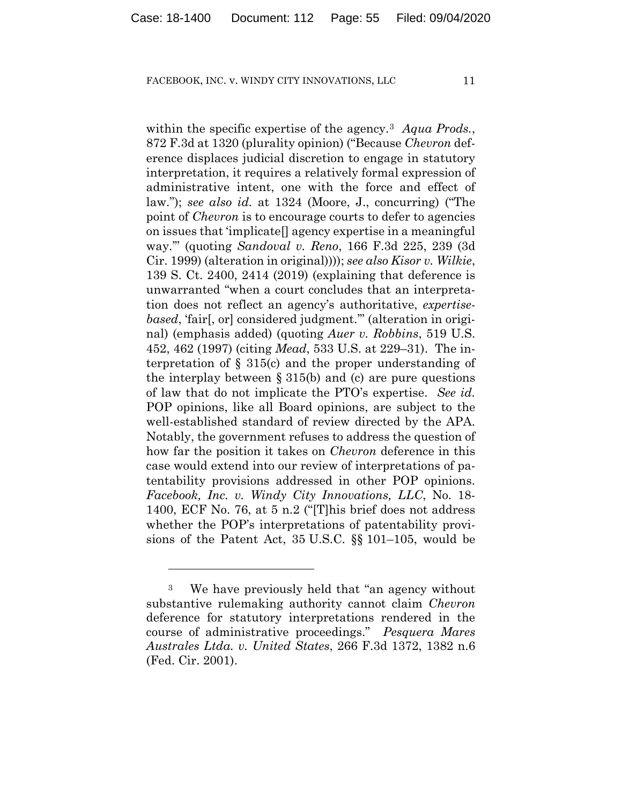within the specific expertise of the agency.3 *Aqua Prods.*, 872 F.3d at 1320 (plurality opinion) ("Because *Chevron* deference displaces judicial discretion to engage in statutory interpretation, it requires a relatively formal expression of administrative intent, one with the force and effect of law."); *see also id.* at 1324 (Moore, J., concurring) ("The point of *Chevron* is to encourage courts to defer to agencies on issues that 'implicate[] agency expertise in a meaningful way.'" (quoting *Sandoval v. Reno*, 166 F.3d 225, 239 (3d Cir. 1999) (alteration in original)))); *see also Kisor v. Wilkie*, 139 S. Ct. 2400, 2414 (2019) (explaining that deference is unwarranted "when a court concludes that an interpretation does not reflect an agency's authoritative, *expertisebased*, 'fair[, or] considered judgment.'" (alteration in original) (emphasis added) (quoting *Auer v. Robbins*, 519 U.S. 452, 462 (1997) (citing *Mead*, 533 U.S. at 229–31). The interpretation of § 315(c) and the proper understanding of the interplay between  $\S 315(b)$  and (c) are pure questions of law that do not implicate the PTO's expertise. *See id.* POP opinions, like all Board opinions, are subject to the well-established standard of review directed by the APA. Notably, the government refuses to address the question of how far the position it takes on *Chevron* deference in this case would extend into our review of interpretations of patentability provisions addressed in other POP opinions. *Facebook, Inc. v. Windy City Innovations, LLC*, No. 18- 1400, ECF No. 76, at 5 n.2 ("[T]his brief does not address whether the POP's interpretations of patentability provisions of the Patent Act, 35 U.S.C. §§ 101–105, would be

<sup>3</sup> We have previously held that "an agency without substantive rulemaking authority cannot claim *Chevron* deference for statutory interpretations rendered in the course of administrative proceedings." *Pesquera Mares Australes Ltda. v. United States*, 266 F.3d 1372, 1382 n.6 (Fed. Cir. 2001).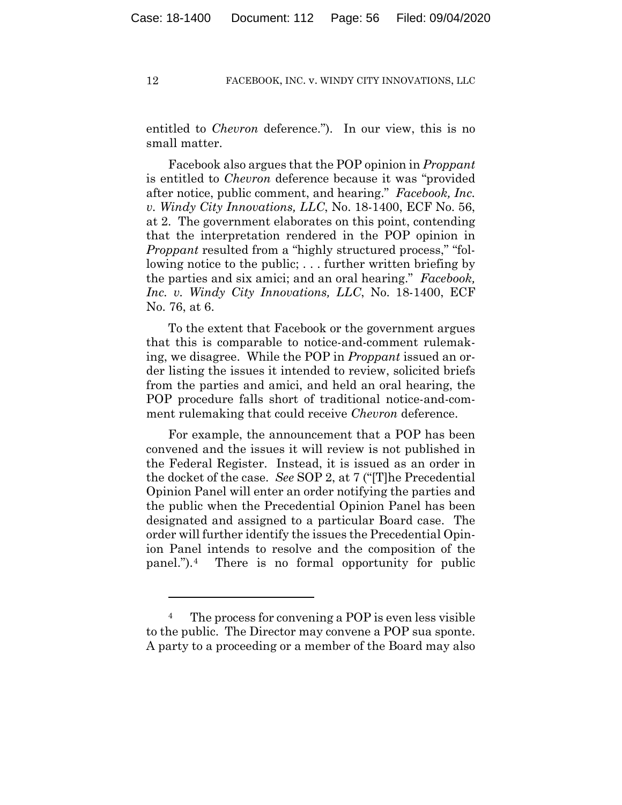entitled to *Chevron* deference."). In our view, this is no small matter.

Facebook also argues that the POP opinion in *Proppant*  is entitled to *Chevron* deference because it was "provided after notice, public comment, and hearing." *Facebook, Inc. v. Windy City Innovations, LLC*, No. 18-1400, ECF No. 56, at 2. The government elaborates on this point, contending that the interpretation rendered in the POP opinion in *Proppant* resulted from a "highly structured process," "following notice to the public; . . . further written briefing by the parties and six amici; and an oral hearing." *Facebook, Inc. v. Windy City Innovations, LLC*, No. 18-1400, ECF No. 76, at 6.

To the extent that Facebook or the government argues that this is comparable to notice-and-comment rulemaking, we disagree. While the POP in *Proppant* issued an order listing the issues it intended to review, solicited briefs from the parties and amici, and held an oral hearing, the POP procedure falls short of traditional notice-and-comment rulemaking that could receive *Chevron* deference.

For example, the announcement that a POP has been convened and the issues it will review is not published in the Federal Register. Instead, it is issued as an order in the docket of the case. *See* SOP 2, at 7 ("[T]he Precedential Opinion Panel will enter an order notifying the parties and the public when the Precedential Opinion Panel has been designated and assigned to a particular Board case. The order will further identify the issues the Precedential Opinion Panel intends to resolve and the composition of the panel.").4 There is no formal opportunity for public

<sup>&</sup>lt;sup>4</sup> The process for convening a POP is even less visible to the public. The Director may convene a POP sua sponte. A party to a proceeding or a member of the Board may also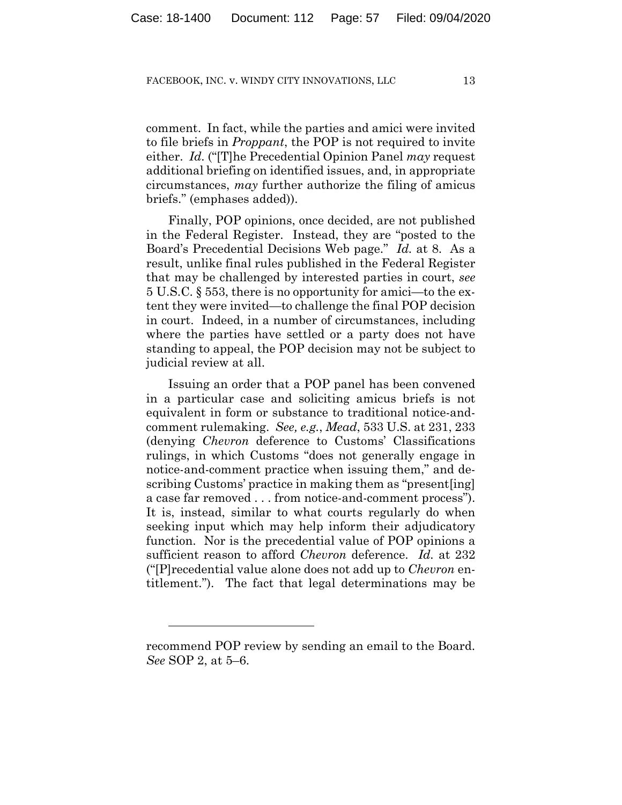comment. In fact, while the parties and amici were invited to file briefs in *Proppant*, the POP is not required to invite either. *Id.* ("[T]he Precedential Opinion Panel *may* request additional briefing on identified issues, and, in appropriate circumstances, *may* further authorize the filing of amicus briefs." (emphases added)).

Finally, POP opinions, once decided, are not published in the Federal Register. Instead, they are "posted to the Board's Precedential Decisions Web page." *Id.* at 8. As a result, unlike final rules published in the Federal Register that may be challenged by interested parties in court, *see*  5 U.S.C. § 553, there is no opportunity for amici—to the extent they were invited—to challenge the final POP decision in court. Indeed, in a number of circumstances, including where the parties have settled or a party does not have standing to appeal, the POP decision may not be subject to judicial review at all.

Issuing an order that a POP panel has been convened in a particular case and soliciting amicus briefs is not equivalent in form or substance to traditional notice-andcomment rulemaking. *See, e.g.*, *Mead*, 533 U.S. at 231, 233 (denying *Chevron* deference to Customs' Classifications rulings, in which Customs "does not generally engage in notice-and-comment practice when issuing them," and describing Customs' practice in making them as "present[ing] a case far removed . . . from notice-and-comment process"). It is, instead, similar to what courts regularly do when seeking input which may help inform their adjudicatory function. Nor is the precedential value of POP opinions a sufficient reason to afford *Chevron* deference. *Id.* at 232 ("[P]recedential value alone does not add up to *Chevron* entitlement."). The fact that legal determinations may be

recommend POP review by sending an email to the Board. *See* SOP 2, at 5–6.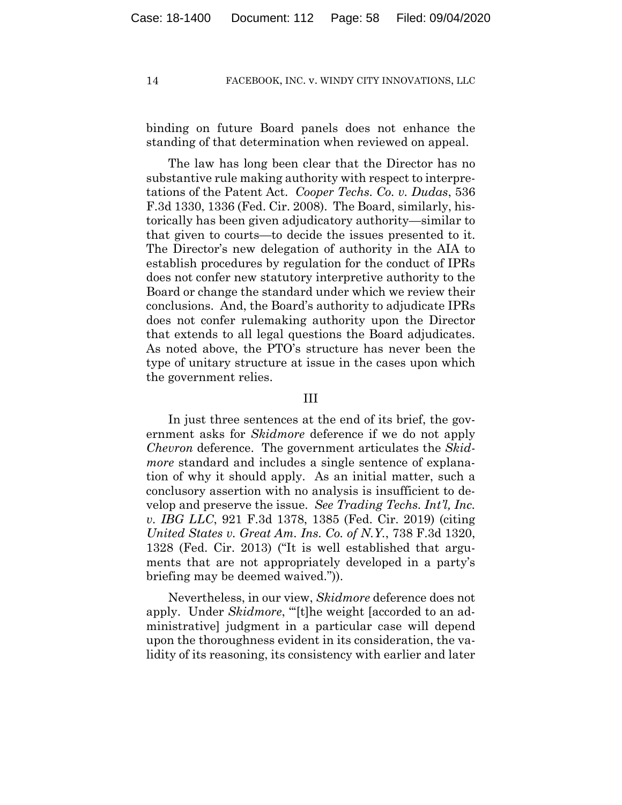binding on future Board panels does not enhance the standing of that determination when reviewed on appeal.

The law has long been clear that the Director has no substantive rule making authority with respect to interpretations of the Patent Act. *Cooper Techs. Co. v. Dudas*, 536 F.3d 1330, 1336 (Fed. Cir. 2008). The Board, similarly, historically has been given adjudicatory authority—similar to that given to courts—to decide the issues presented to it. The Director's new delegation of authority in the AIA to establish procedures by regulation for the conduct of IPRs does not confer new statutory interpretive authority to the Board or change the standard under which we review their conclusions. And, the Board's authority to adjudicate IPRs does not confer rulemaking authority upon the Director that extends to all legal questions the Board adjudicates. As noted above, the PTO's structure has never been the type of unitary structure at issue in the cases upon which the government relies.

## III

In just three sentences at the end of its brief, the government asks for *Skidmore* deference if we do not apply *Chevron* deference. The government articulates the *Skidmore* standard and includes a single sentence of explanation of why it should apply. As an initial matter, such a conclusory assertion with no analysis is insufficient to develop and preserve the issue. *See Trading Techs. Int'l, Inc. v. IBG LLC*, 921 F.3d 1378, 1385 (Fed. Cir. 2019) (citing *United States v. Great Am. Ins. Co. of N.Y.*, 738 F.3d 1320, 1328 (Fed. Cir. 2013) ("It is well established that arguments that are not appropriately developed in a party's briefing may be deemed waived.")).

Nevertheless, in our view, *Skidmore* deference does not apply. Under *Skidmore*, "[t]he weight [accorded to an administrative] judgment in a particular case will depend upon the thoroughness evident in its consideration, the validity of its reasoning, its consistency with earlier and later